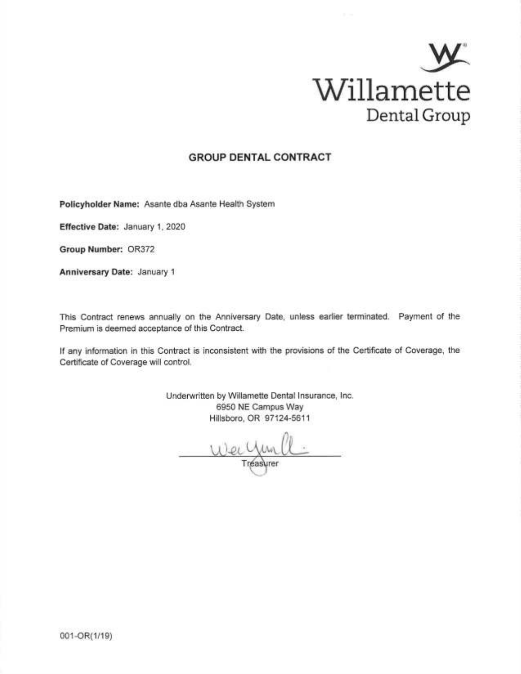

## **GROUP DENTAL CONTRACT**

Policyholder Name: Asante dba Asante Health System

Effective Date: January 1, 2020

Group Number: OR372

Anniversary Date: January 1

This Contract renews annually on the Anniversary Date, unless earlier terminated. Payment of the Premium is deemed acceptance of this Contract.

If any information in this Contract is inconsistent with the provisions of the Certificate of Coverage, the Certificate of Coverage will control.

> Underwritten by Willamette Dental Insurance, Inc. 6950 NE Campus Way Hillsboro, OR 97124-5611

Tréasurer

001-OR(1/19)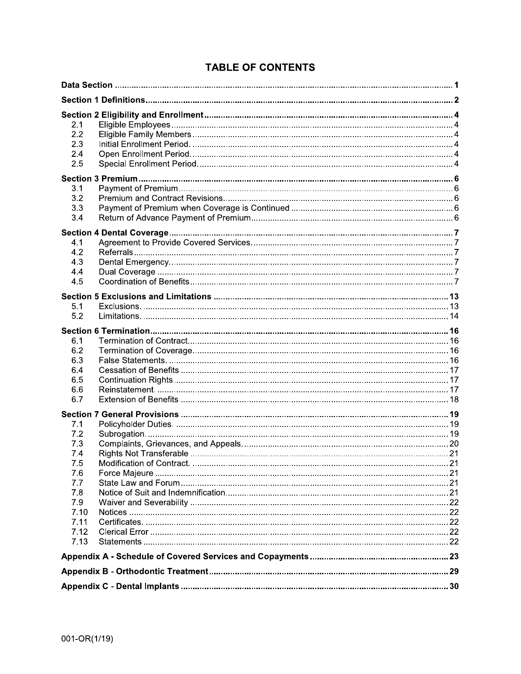| 2.1<br>2.2<br>2.3<br>2.4<br>2.5                                                             |  |
|---------------------------------------------------------------------------------------------|--|
| 3.1<br>3.2<br>3.3<br>3.4                                                                    |  |
| 4.1<br>4.2<br>4.3<br>4.4<br>4.5                                                             |  |
| 5.1<br>5.2                                                                                  |  |
| 6.1<br>6.2<br>6.3<br>6.4<br>6.5<br>6.6<br>6.7                                               |  |
| 7.1<br>7.2<br>7.3<br>7.4<br>7.5<br>7.6<br>7.7<br>7.8<br>7.9<br>7.10<br>7.11<br>7.12<br>7.13 |  |
|                                                                                             |  |
|                                                                                             |  |
|                                                                                             |  |

## **TABLE OF CONTENTS**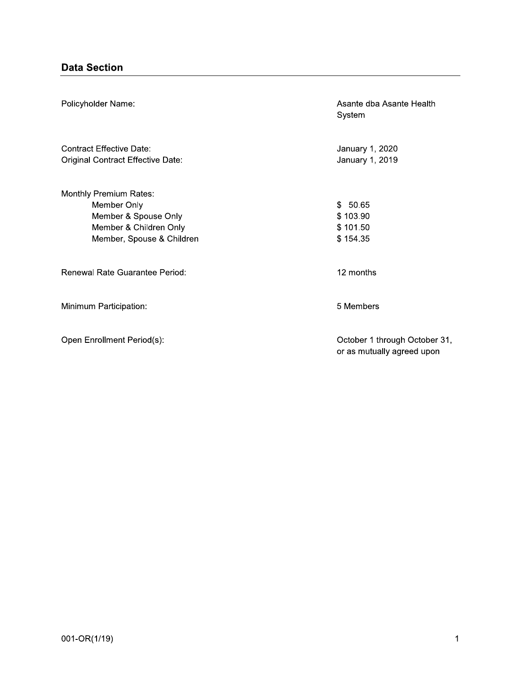| Policyholder Name:                                                                                                          | Asante dba Asante Health<br>System                          |
|-----------------------------------------------------------------------------------------------------------------------------|-------------------------------------------------------------|
| <b>Contract Effective Date:</b><br>Original Contract Effective Date:                                                        | January 1, 2020<br>January 1, 2019                          |
| <b>Monthly Premium Rates:</b><br>Member Only<br>Member & Spouse Only<br>Member & Children Only<br>Member, Spouse & Children | \$50.65<br>\$103.90<br>\$101.50<br>\$154.35                 |
| Renewal Rate Guarantee Period:                                                                                              | 12 months                                                   |
| Minimum Participation:                                                                                                      | 5 Members                                                   |
| Open Enrollment Period(s):                                                                                                  | October 1 through October 31,<br>or as mutually agreed upon |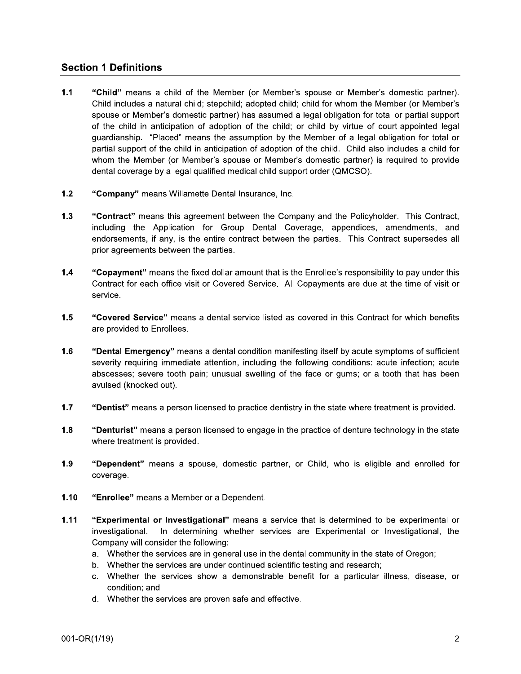## **Section 1 Definitions**

- $1.1$ "Child" means a child of the Member (or Member's spouse or Member's domestic partner). Child includes a natural child; stepchild; adopted child; child for whom the Member (or Member's spouse or Member's domestic partner) has assumed a legal obligation for total or partial support of the child in anticipation of adoption of the child; or child by virtue of court-appointed legal quardianship. "Placed" means the assumption by the Member of a legal obligation for total or partial support of the child in anticipation of adoption of the child. Child also includes a child for whom the Member (or Member's spouse or Member's domestic partner) is required to provide dental coverage by a legal qualified medical child support order (QMCSO).
- $1.2$ "Company" means Willamette Dental Insurance, Inc.
- $1.3$ "Contract" means this agreement between the Company and the Policyholder. This Contract, including the Application for Group Dental Coverage, appendices, amendments, and endorsements, if any, is the entire contract between the parties. This Contract supersedes all prior agreements between the parties.
- $1.4$ "Copayment" means the fixed dollar amount that is the Enrollee's responsibility to pay under this Contract for each office visit or Covered Service. All Copayments are due at the time of visit or service.
- $1.5$ "Covered Service" means a dental service listed as covered in this Contract for which benefits are provided to Enrollees.
- $1.6$ "Dental Emergency" means a dental condition manifesting itself by acute symptoms of sufficient severity requiring immediate attention, including the following conditions: acute infection; acute abscesses; severe tooth pain; unusual swelling of the face or gums; or a tooth that has been avulsed (knocked out).
- $1.7$ "Dentist" means a person licensed to practice dentistry in the state where treatment is provided.
- $1.8$ "Denturist" means a person licensed to engage in the practice of denture technology in the state where treatment is provided.
- $1.9$ "Dependent" means a spouse, domestic partner, or Child, who is eligible and enrolled for coverage.
- $1.10$ "Enrollee" means a Member or a Dependent.
- $1.11$ "Experimental or Investigational" means a service that is determined to be experimental or investigational. In determining whether services are Experimental or Investigational, the Company will consider the following:
	- a. Whether the services are in general use in the dental community in the state of Oregon;
	- b. Whether the services are under continued scientific testing and research;
	- c. Whether the services show a demonstrable benefit for a particular illness, disease, or condition: and
	- d. Whether the services are proven safe and effective.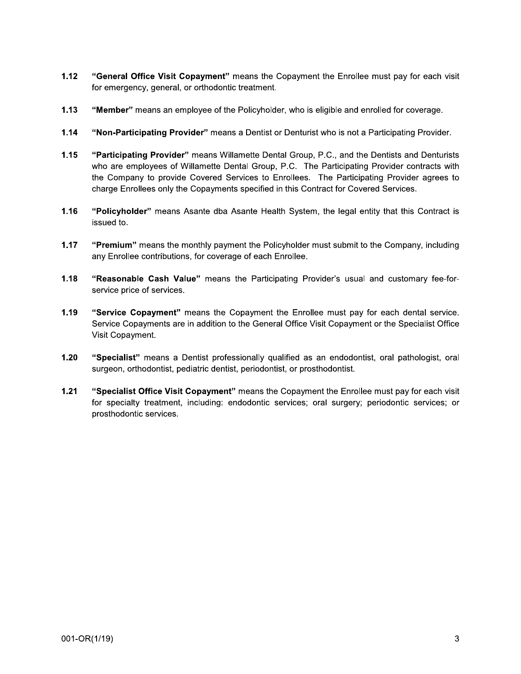- $1.12$ "General Office Visit Copayment" means the Copayment the Enrollee must pay for each visit for emergency, general, or orthodontic treatment.
- $1.13$ "Member" means an employee of the Policyholder, who is eligible and enrolled for coverage.
- $1.14$ "Non-Participating Provider" means a Dentist or Denturist who is not a Participating Provider.
- $1.15$ "Participating Provider" means Willamette Dental Group, P.C., and the Dentists and Denturists who are employees of Willamette Dental Group, P.C. The Participating Provider contracts with the Company to provide Covered Services to Enrollees. The Participating Provider agrees to charge Enrollees only the Copayments specified in this Contract for Covered Services.
- 1.16 "Policyholder" means Asante dba Asante Health System, the legal entity that this Contract is issued to.
- $1.17$ "Premium" means the monthly payment the Policyholder must submit to the Company, including any Enrollee contributions, for coverage of each Enrollee.
- $1.18$ "Reasonable Cash Value" means the Participating Provider's usual and customary fee-forservice price of services.
- $1.19$ "Service Copayment" means the Copayment the Enrollee must pay for each dental service. Service Copayments are in addition to the General Office Visit Copayment or the Specialist Office Visit Copayment.
- $1.20$ "Specialist" means a Dentist professionally qualified as an endodontist, oral pathologist, oral surgeon, orthodontist, pediatric dentist, periodontist, or prosthodontist.
- $1.21$ "Specialist Office Visit Copayment" means the Copayment the Enrollee must pay for each visit for specialty treatment, including: endodontic services; oral surgery; periodontic services; or prosthodontic services.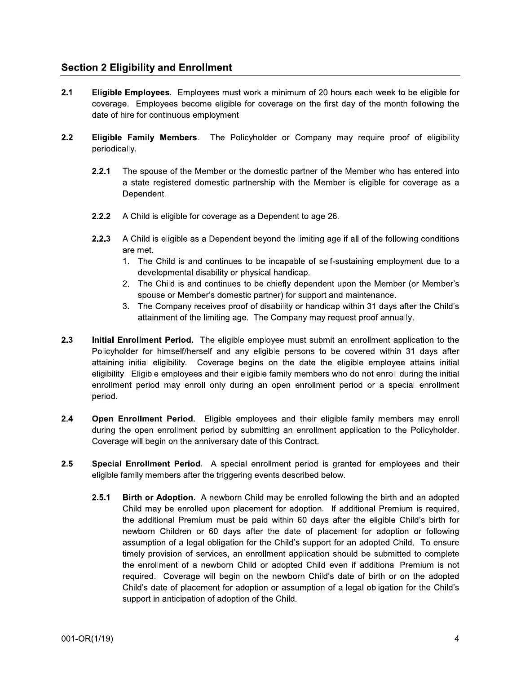## **Section 2 Eligibility and Enrollment**

- $2.1$ **Eligible Employees.** Employees must work a minimum of 20 hours each week to be eligible for coverage. Employees become eligible for coverage on the first day of the month following the date of hire for continuous employment.
- $2.2$ Eligible Family Members. The Policyholder or Company may require proof of eligibility periodically.
	- $2.2.1$ The spouse of the Member or the domestic partner of the Member who has entered into a state registered domestic partnership with the Member is eligible for coverage as a Dependent.
	- $2.2.2$ A Child is eligible for coverage as a Dependent to age 26.
	- $2.2.3$ A Child is eligible as a Dependent beyond the limiting age if all of the following conditions are met.
		- 1. The Child is and continues to be incapable of self-sustaining employment due to a developmental disability or physical handicap.
		- 2. The Child is and continues to be chiefly dependent upon the Member (or Member's spouse or Member's domestic partner) for support and maintenance.
		- 3. The Company receives proof of disability or handicap within 31 days after the Child's attainment of the limiting age. The Company may request proof annually.
- $2.3$ Initial Enrollment Period. The eligible employee must submit an enrollment application to the Policyholder for himself/herself and any eligible persons to be covered within 31 days after attaining initial eligibility. Coverage begins on the date the eligible employee attains initial eligibility. Eligible employees and their eligible family members who do not enroll during the initial enrollment period may enroll only during an open enrollment period or a special enrollment period.
- $2.4$ Open Enrollment Period. Eligible employees and their eligible family members may enroll during the open enrollment period by submitting an enrollment application to the Policyholder. Coverage will begin on the anniversary date of this Contract.
- $2.5$ Special Enrollment Period. A special enrollment period is granted for employees and their eligible family members after the triggering events described below.
	- $2.5.1$ Birth or Adoption. A newborn Child may be enrolled following the birth and an adopted Child may be enrolled upon placement for adoption. If additional Premium is required, the additional Premium must be paid within 60 days after the eligible Child's birth for newborn Children or 60 days after the date of placement for adoption or following assumption of a legal obligation for the Child's support for an adopted Child. To ensure timely provision of services, an enrollment application should be submitted to complete the enrollment of a newborn Child or adopted Child even if additional Premium is not required. Coverage will begin on the newborn Child's date of birth or on the adopted Child's date of placement for adoption or assumption of a legal obligation for the Child's support in anticipation of adoption of the Child.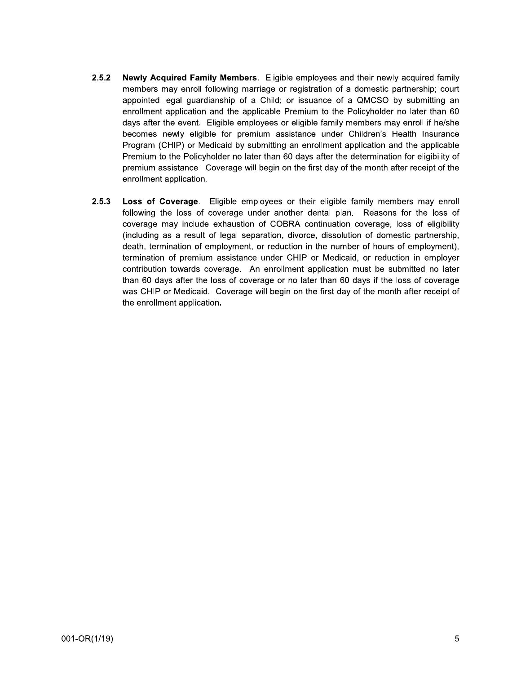- $2.5.2$ Newly Acquired Family Members. Eligible employees and their newly acquired family members may enroll following marriage or registration of a domestic partnership; court appointed legal quardianship of a Child; or issuance of a QMCSO by submitting an enrollment application and the applicable Premium to the Policyholder no later than 60 days after the event. Eligible employees or eligible family members may enroll if he/she becomes newly eligible for premium assistance under Children's Health Insurance Program (CHIP) or Medicaid by submitting an enrollment application and the applicable Premium to the Policyholder no later than 60 days after the determination for eligibility of premium assistance. Coverage will begin on the first day of the month after receipt of the enrollment application.
- $2.5.3$ Loss of Coverage. Eligible employees or their eligible family members may enroll following the loss of coverage under another dental plan. Reasons for the loss of coverage may include exhaustion of COBRA continuation coverage, loss of eligibility (including as a result of legal separation, divorce, dissolution of domestic partnership, death, termination of employment, or reduction in the number of hours of employment), termination of premium assistance under CHIP or Medicaid, or reduction in employer contribution towards coverage. An enrollment application must be submitted no later than 60 days after the loss of coverage or no later than 60 days if the loss of coverage was CHIP or Medicaid. Coverage will begin on the first day of the month after receipt of the enrollment application.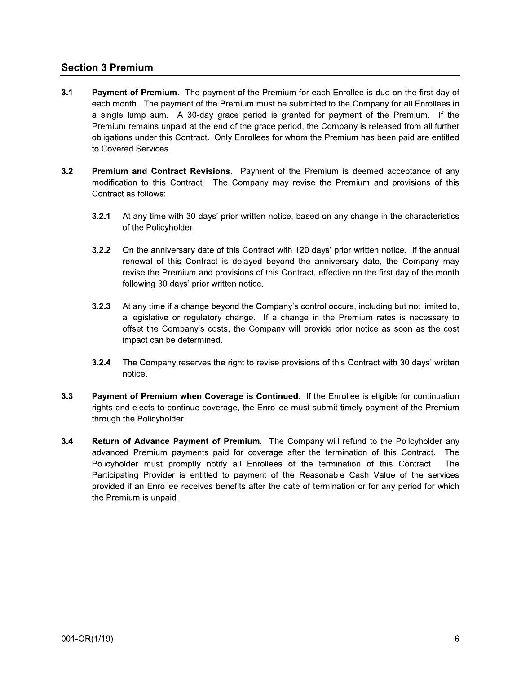## **Section 3 Premium**

- $3.1$ Payment of Premium. The payment of the Premium for each Enrollee is due on the first day of each month. The payment of the Premium must be submitted to the Company for all Enrollees in a single lump sum. A 30-day grace period is granted for payment of the Premium. If the Premium remains unpaid at the end of the grace period, the Company is released from all further obligations under this Contract. Only Enrollees for whom the Premium has been paid are entitled to Covered Services.
- $3.2$ Premium and Contract Revisions. Payment of the Premium is deemed acceptance of any modification to this Contract. The Company may revise the Premium and provisions of this Contract as follows:
	- $3.2.1$ At any time with 30 days' prior written notice, based on any change in the characteristics of the Policyholder.
	- $3.2.2$ On the anniversary date of this Contract with 120 days' prior written notice. If the annual renewal of this Contract is delayed beyond the anniversary date, the Company may revise the Premium and provisions of this Contract, effective on the first day of the month following 30 days' prior written notice.
	- $3.2.3$ At any time if a change beyond the Company's control occurs, including but not limited to, a legislative or regulatory change. If a change in the Premium rates is necessary to offset the Company's costs, the Company will provide prior notice as soon as the cost impact can be determined.
	- The Company reserves the right to revise provisions of this Contract with 30 days' written  $3.2.4$ notice.
- $3.3$ Payment of Premium when Coverage is Continued. If the Enrollee is eligible for continuation rights and elects to continue coverage, the Enrollee must submit timely payment of the Premium through the Policyholder.
- $3.4$ Return of Advance Payment of Premium. The Company will refund to the Policyholder any advanced Premium payments paid for coverage after the termination of this Contract. The Policyholder must promptly notify all Enrollees of the termination of this Contract. The Participating Provider is entitled to payment of the Reasonable Cash Value of the services provided if an Enrollee receives benefits after the date of termination or for any period for which the Premium is unpaid.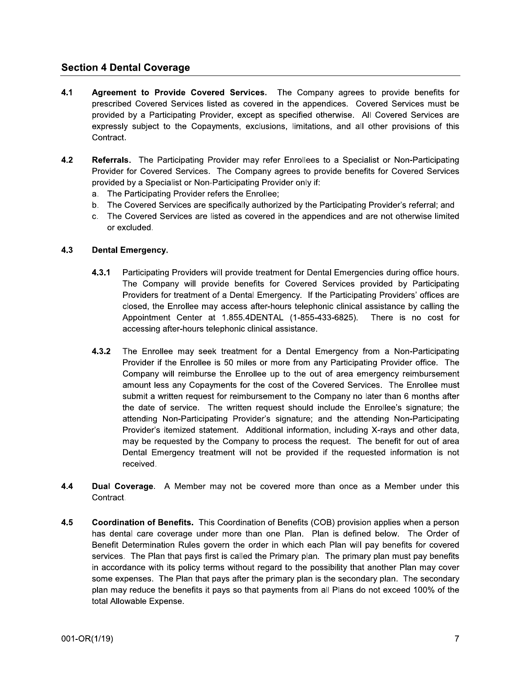## **Section 4 Dental Coverage**

- $4.1$ Agreement to Provide Covered Services. The Company agrees to provide benefits for prescribed Covered Services listed as covered in the appendices. Covered Services must be provided by a Participating Provider, except as specified otherwise. All Covered Services are expressly subject to the Copayments, exclusions, limitations, and all other provisions of this Contract.
- $4.2$ Referrals. The Participating Provider may refer Enrollees to a Specialist or Non-Participating Provider for Covered Services. The Company agrees to provide benefits for Covered Services provided by a Specialist or Non-Participating Provider only if:
	- a. The Participating Provider refers the Enrollee;
	- b. The Covered Services are specifically authorized by the Participating Provider's referral; and
	- c. The Covered Services are listed as covered in the appendices and are not otherwise limited or excluded.

### $4.3$ **Dental Emergency.**

- $4.3.1$ Participating Providers will provide treatment for Dental Emergencies during office hours. The Company will provide benefits for Covered Services provided by Participating Providers for treatment of a Dental Emergency. If the Participating Providers' offices are closed, the Enrollee may access after-hours telephonic clinical assistance by calling the Appointment Center at 1.855.4DENTAL (1-855-433-6825). There is no cost for accessing after-hours telephonic clinical assistance.
- $4.3.2$ The Enrollee may seek treatment for a Dental Emergency from a Non-Participating Provider if the Enrollee is 50 miles or more from any Participating Provider office. The Company will reimburse the Enrollee up to the out of area emergency reimbursement amount less any Copayments for the cost of the Covered Services. The Enrollee must submit a written request for reimbursement to the Company no later than 6 months after the date of service. The written request should include the Enrollee's signature; the attending Non-Participating Provider's signature; and the attending Non-Participating Provider's itemized statement. Additional information, including X-rays and other data, may be requested by the Company to process the request. The benefit for out of area Dental Emergency treatment will not be provided if the requested information is not received.
- 4.4 Dual Coverage. A Member may not be covered more than once as a Member under this Contract.
- $4.5$ Coordination of Benefits. This Coordination of Benefits (COB) provision applies when a person has dental care coverage under more than one Plan. Plan is defined below. The Order of Benefit Determination Rules govern the order in which each Plan will pay benefits for covered services. The Plan that pays first is called the Primary plan. The primary plan must pay benefits in accordance with its policy terms without regard to the possibility that another Plan may cover some expenses. The Plan that pays after the primary plan is the secondary plan. The secondary plan may reduce the benefits it pays so that payments from all Plans do not exceed 100% of the total Allowable Expense.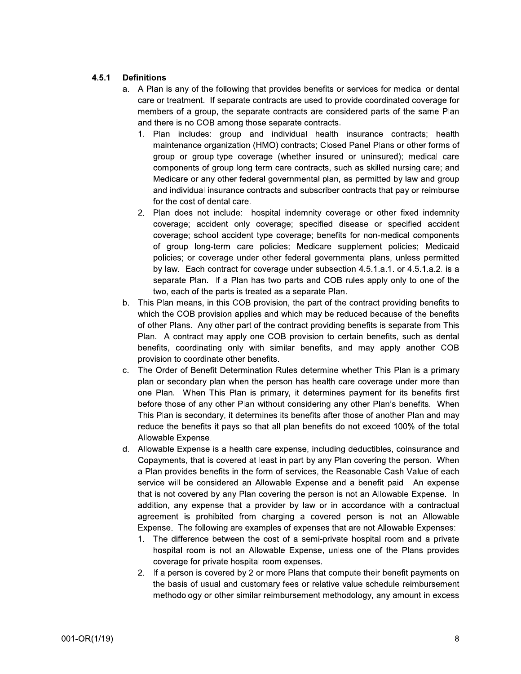### $4.5.1$ **Definitions**

- a. A Plan is any of the following that provides benefits or services for medical or dental care or treatment. If separate contracts are used to provide coordinated coverage for members of a group, the separate contracts are considered parts of the same Plan and there is no COB among those separate contracts.
	- 1. Plan includes: group and individual health insurance contracts; health maintenance organization (HMO) contracts; Closed Panel Plans or other forms of group or group-type coverage (whether insured or uninsured); medical care components of group long term care contracts, such as skilled nursing care; and Medicare or any other federal governmental plan, as permitted by law and group and individual insurance contracts and subscriber contracts that pay or reimburse for the cost of dental care.
	- 2. Plan does not include: hospital indemnity coverage or other fixed indemnity coverage; accident only coverage; specified disease or specified accident coverage; school accident type coverage; benefits for non-medical components of group long-term care policies; Medicare supplement policies; Medicaid policies; or coverage under other federal governmental plans, unless permitted by law. Each contract for coverage under subsection 4.5.1.a.1. or 4.5.1.a.2. is a separate Plan. If a Plan has two parts and COB rules apply only to one of the two, each of the parts is treated as a separate Plan.
- b. This Plan means, in this COB provision, the part of the contract providing benefits to which the COB provision applies and which may be reduced because of the benefits of other Plans. Any other part of the contract providing benefits is separate from This Plan. A contract may apply one COB provision to certain benefits, such as dental benefits, coordinating only with similar benefits, and may apply another COB provision to coordinate other benefits.
- The Order of Benefit Determination Rules determine whether This Plan is a primary  $\mathbf{C}$ . plan or secondary plan when the person has health care coverage under more than one Plan. When This Plan is primary, it determines payment for its benefits first before those of any other Plan without considering any other Plan's benefits. When This Plan is secondary, it determines its benefits after those of another Plan and may reduce the benefits it pays so that all plan benefits do not exceed 100% of the total Allowable Expense.
- d. Allowable Expense is a health care expense, including deductibles, coinsurance and Copayments, that is covered at least in part by any Plan covering the person. When a Plan provides benefits in the form of services, the Reasonable Cash Value of each service will be considered an Allowable Expense and a benefit paid. An expense that is not covered by any Plan covering the person is not an Allowable Expense. In addition, any expense that a provider by law or in accordance with a contractual agreement is prohibited from charging a covered person is not an Allowable Expense. The following are examples of expenses that are not Allowable Expenses:
	- 1. The difference between the cost of a semi-private hospital room and a private hospital room is not an Allowable Expense, unless one of the Plans provides coverage for private hospital room expenses.
	- 2. If a person is covered by 2 or more Plans that compute their benefit payments on the basis of usual and customary fees or relative value schedule reimbursement methodology or other similar reimbursement methodology, any amount in excess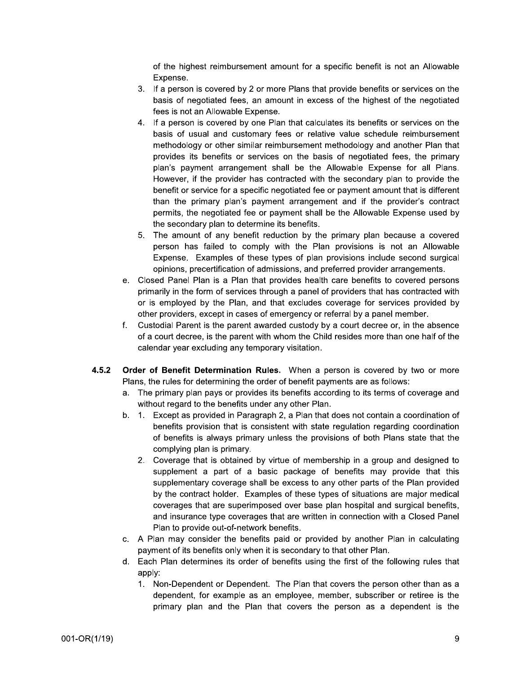of the highest reimbursement amount for a specific benefit is not an Allowable Expense.

- 3. If a person is covered by 2 or more Plans that provide benefits or services on the basis of negotiated fees, an amount in excess of the highest of the negotiated fees is not an Allowable Expense.
- 4. If a person is covered by one Plan that calculates its benefits or services on the basis of usual and customary fees or relative value schedule reimbursement methodology or other similar reimbursement methodology and another Plan that provides its benefits or services on the basis of negotiated fees, the primary plan's payment arrangement shall be the Allowable Expense for all Plans. However, if the provider has contracted with the secondary plan to provide the benefit or service for a specific negotiated fee or payment amount that is different than the primary plan's payment arrangement and if the provider's contract permits, the negotiated fee or payment shall be the Allowable Expense used by the secondary plan to determine its benefits.
- 5. The amount of any benefit reduction by the primary plan because a covered person has failed to comply with the Plan provisions is not an Allowable Expense. Examples of these types of plan provisions include second surgical opinions, precertification of admissions, and preferred provider arrangements.
- e. Closed Panel Plan is a Plan that provides health care benefits to covered persons primarily in the form of services through a panel of providers that has contracted with or is employed by the Plan, and that excludes coverage for services provided by other providers, except in cases of emergency or referral by a panel member.
- $f_{\cdot}$ Custodial Parent is the parent awarded custody by a court decree or, in the absence of a court decree, is the parent with whom the Child resides more than one half of the calendar year excluding any temporary visitation.
- $4.5.2$ Order of Benefit Determination Rules. When a person is covered by two or more Plans, the rules for determining the order of benefit payments are as follows:
	- a. The primary plan pays or provides its benefits according to its terms of coverage and without regard to the benefits under any other Plan.
	- b. 1. Except as provided in Paragraph 2, a Plan that does not contain a coordination of benefits provision that is consistent with state regulation regarding coordination of benefits is always primary unless the provisions of both Plans state that the complying plan is primary.
		- 2. Coverage that is obtained by virtue of membership in a group and designed to supplement a part of a basic package of benefits may provide that this supplementary coverage shall be excess to any other parts of the Plan provided by the contract holder. Examples of these types of situations are major medical coverages that are superimposed over base plan hospital and surgical benefits, and insurance type coverages that are written in connection with a Closed Panel Plan to provide out-of-network benefits.
	- c. A Plan may consider the benefits paid or provided by another Plan in calculating payment of its benefits only when it is secondary to that other Plan.
	- d. Each Plan determines its order of benefits using the first of the following rules that apply:
		- 1. Non-Dependent or Dependent. The Plan that covers the person other than as a dependent, for example as an employee, member, subscriber or retiree is the primary plan and the Plan that covers the person as a dependent is the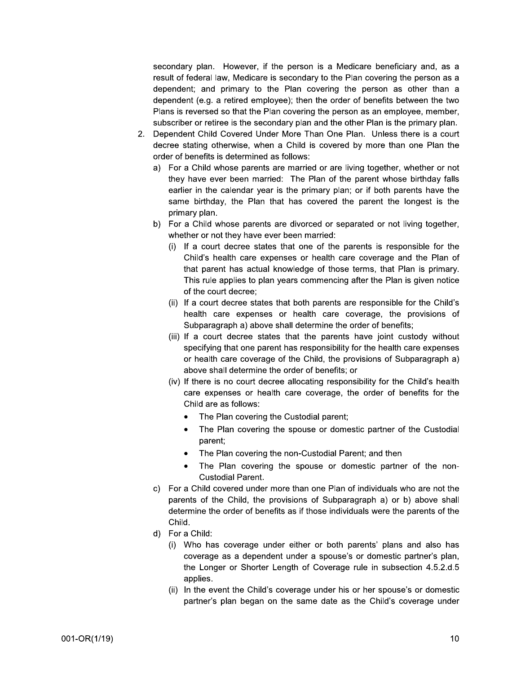secondary plan. However, if the person is a Medicare beneficiary and, as a result of federal law, Medicare is secondary to the Plan covering the person as a dependent; and primary to the Plan covering the person as other than a dependent (e.g. a retired employee); then the order of benefits between the two Plans is reversed so that the Plan covering the person as an employee, member, subscriber or retiree is the secondary plan and the other Plan is the primary plan.

- 2. Dependent Child Covered Under More Than One Plan. Unless there is a court decree stating otherwise, when a Child is covered by more than one Plan the order of benefits is determined as follows:
	- a) For a Child whose parents are married or are living together, whether or not they have ever been married: The Plan of the parent whose birthday falls earlier in the calendar year is the primary plan; or if both parents have the same birthday, the Plan that has covered the parent the longest is the primary plan.
	- b) For a Child whose parents are divorced or separated or not living together, whether or not they have ever been married:
		- (i) If a court decree states that one of the parents is responsible for the Child's health care expenses or health care coverage and the Plan of that parent has actual knowledge of those terms, that Plan is primary. This rule applies to plan years commencing after the Plan is given notice of the court decree;
		- (ii) If a court decree states that both parents are responsible for the Child's health care expenses or health care coverage, the provisions of Subparagraph a) above shall determine the order of benefits;
		- (iii) If a court decree states that the parents have joint custody without specifying that one parent has responsibility for the health care expenses or health care coverage of the Child, the provisions of Subparagraph a) above shall determine the order of benefits; or
		- (iv) If there is no court decree allocating responsibility for the Child's health care expenses or health care coverage, the order of benefits for the Child are as follows:
			- The Plan covering the Custodial parent;
			- The Plan covering the spouse or domestic partner of the Custodial parent;
			- The Plan covering the non-Custodial Parent; and then
			- The Plan covering the spouse or domestic partner of the non-**Custodial Parent.**
	- c) For a Child covered under more than one Plan of individuals who are not the parents of the Child, the provisions of Subparagraph a) or b) above shall determine the order of benefits as if those individuals were the parents of the Child.
	- d) For a Child:
		- (i) Who has coverage under either or both parents' plans and also has coverage as a dependent under a spouse's or domestic partner's plan, the Longer or Shorter Length of Coverage rule in subsection 4.5.2.d.5 applies.
		- (ii) In the event the Child's coverage under his or her spouse's or domestic partner's plan began on the same date as the Child's coverage under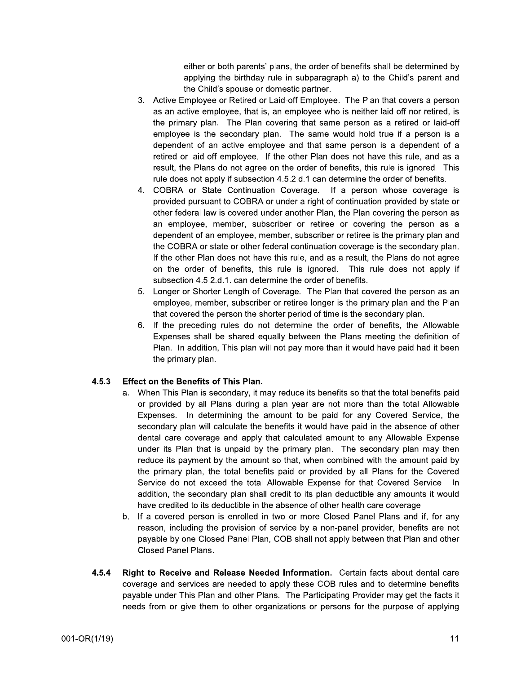either or both parents' plans, the order of benefits shall be determined by applying the birthday rule in subparagraph a) to the Child's parent and the Child's spouse or domestic partner.

- 3. Active Employee or Retired or Laid-off Employee. The Plan that covers a person as an active employee, that is, an employee who is neither laid off nor retired, is the primary plan. The Plan covering that same person as a retired or laid-off employee is the secondary plan. The same would hold true if a person is a dependent of an active employee and that same person is a dependent of a retired or laid-off employee. If the other Plan does not have this rule, and as a result, the Plans do not agree on the order of benefits, this rule is ignored. This rule does not apply if subsection 4.5.2.d.1 can determine the order of benefits.
- 4. COBRA or State Continuation Coverage. If a person whose coverage is provided pursuant to COBRA or under a right of continuation provided by state or other federal law is covered under another Plan, the Plan covering the person as an employee, member, subscriber or retiree or covering the person as a dependent of an employee, member, subscriber or retiree is the primary plan and the COBRA or state or other federal continuation coverage is the secondary plan. If the other Plan does not have this rule, and as a result, the Plans do not agree on the order of benefits, this rule is ignored. This rule does not apply if subsection 4.5.2.d.1. can determine the order of benefits.
- 5. Longer or Shorter Length of Coverage. The Plan that covered the person as an employee, member, subscriber or retiree longer is the primary plan and the Plan that covered the person the shorter period of time is the secondary plan.
- 6. If the preceding rules do not determine the order of benefits, the Allowable Expenses shall be shared equally between the Plans meeting the definition of Plan. In addition, This plan will not pay more than it would have paid had it been the primary plan.

### $4.5.3$ **Effect on the Benefits of This Plan.**

- a. When This Plan is secondary, it may reduce its benefits so that the total benefits paid or provided by all Plans during a plan year are not more than the total Allowable Expenses. In determining the amount to be paid for any Covered Service, the secondary plan will calculate the benefits it would have paid in the absence of other dental care coverage and apply that calculated amount to any Allowable Expense under its Plan that is unpaid by the primary plan. The secondary plan may then reduce its payment by the amount so that, when combined with the amount paid by the primary plan, the total benefits paid or provided by all Plans for the Covered Service do not exceed the total Allowable Expense for that Covered Service. In addition, the secondary plan shall credit to its plan deductible any amounts it would have credited to its deductible in the absence of other health care coverage.
- b. If a covered person is enrolled in two or more Closed Panel Plans and if, for any reason, including the provision of service by a non-panel provider, benefits are not payable by one Closed Panel Plan, COB shall not apply between that Plan and other Closed Panel Plans.
- 4.5.4 Right to Receive and Release Needed Information. Certain facts about dental care coverage and services are needed to apply these COB rules and to determine benefits payable under This Plan and other Plans. The Participating Provider may get the facts it needs from or give them to other organizations or persons for the purpose of applying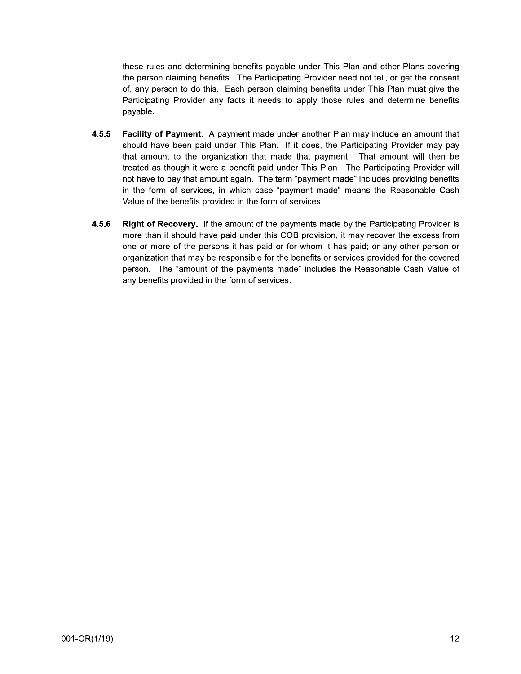these rules and determining benefits payable under This Plan and other Plans covering the person claiming benefits. The Participating Provider need not tell, or get the consent of, any person to do this. Each person claiming benefits under This Plan must give the Participating Provider any facts it needs to apply those rules and determine benefits payable.

- $4.5.5$ Facility of Payment. A payment made under another Plan may include an amount that should have been paid under This Plan. If it does, the Participating Provider may pay that amount to the organization that made that payment. That amount will then be treated as though it were a benefit paid under This Plan. The Participating Provider will not have to pay that amount again. The term "payment made" includes providing benefits in the form of services, in which case "payment made" means the Reasonable Cash Value of the benefits provided in the form of services.
- 4.5.6 Right of Recovery. If the amount of the payments made by the Participating Provider is more than it should have paid under this COB provision, it may recover the excess from one or more of the persons it has paid or for whom it has paid; or any other person or organization that may be responsible for the benefits or services provided for the covered person. The "amount of the payments made" includes the Reasonable Cash Value of any benefits provided in the form of services.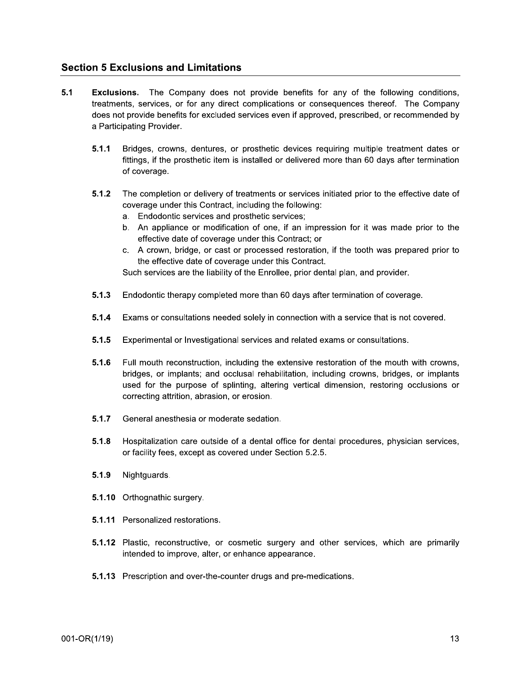## **Section 5 Exclusions and Limitations**

- $5.1$ **Exclusions.** The Company does not provide benefits for any of the following conditions, treatments, services, or for any direct complications or consequences thereof. The Company does not provide benefits for excluded services even if approved, prescribed, or recommended by a Participating Provider.
	- $5.1.1$ Bridges, crowns, dentures, or prosthetic devices requiring multiple treatment dates or fittings, if the prosthetic item is installed or delivered more than 60 days after termination of coverage.
	- $5.1.2$ The completion or delivery of treatments or services initiated prior to the effective date of coverage under this Contract, including the following:
		- a. Endodontic services and prosthetic services;
		- b. An appliance or modification of one, if an impression for it was made prior to the effective date of coverage under this Contract; or
		- c. A crown, bridge, or cast or processed restoration, if the tooth was prepared prior to the effective date of coverage under this Contract.

Such services are the liability of the Enrollee, prior dental plan, and provider.

- $5.1.3$ Endodontic therapy completed more than 60 days after termination of coverage.
- $5.1.4$ Exams or consultations needed solely in connection with a service that is not covered.
- $5.1.5$ Experimental or Investigational services and related exams or consultations.
- $5.1.6$ Full mouth reconstruction, including the extensive restoration of the mouth with crowns, bridges, or implants; and occlusal rehabilitation, including crowns, bridges, or implants used for the purpose of splinting, altering vertical dimension, restoring occlusions or correcting attrition, abrasion, or erosion.
- $5.1.7$ General anesthesia or moderate sedation.
- $5.1.8$ Hospitalization care outside of a dental office for dental procedures, physician services, or facility fees, except as covered under Section 5.2.5.
- $5.1.9$ Nightguards.
- 5.1.10 Orthognathic surgery.
- 5.1.11 Personalized restorations.
- 5.1.12 Plastic, reconstructive, or cosmetic surgery and other services, which are primarily intended to improve, alter, or enhance appearance.
- 5.1.13 Prescription and over-the-counter drugs and pre-medications.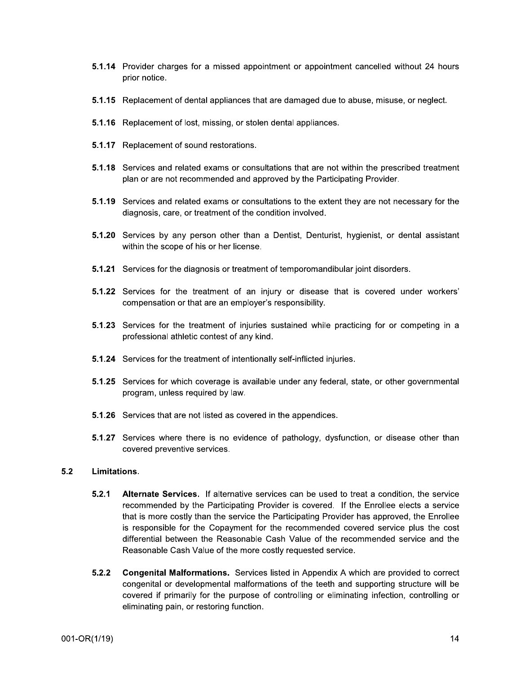- 5.1.14 Provider charges for a missed appointment or appointment cancelled without 24 hours prior notice.
- 5.1.15 Replacement of dental appliances that are damaged due to abuse, misuse, or neglect.
- 5.1.16 Replacement of lost, missing, or stolen dental appliances.
- 5.1.17 Replacement of sound restorations.
- 5.1.18 Services and related exams or consultations that are not within the prescribed treatment plan or are not recommended and approved by the Participating Provider.
- 5.1.19 Services and related exams or consultations to the extent they are not necessary for the diagnosis, care, or treatment of the condition involved.
- 5.1.20 Services by any person other than a Dentist, Denturist, hygienist, or dental assistant within the scope of his or her license.
- **5.1.21** Services for the diagnosis or treatment of temporomandibular joint disorders.
- 5.1.22 Services for the treatment of an injury or disease that is covered under workers' compensation or that are an employer's responsibility.
- 5.1.23 Services for the treatment of injuries sustained while practicing for or competing in a professional athletic contest of any kind.
- **5.1.24** Services for the treatment of intentionally self-inflicted injuries.
- 5.1.25 Services for which coverage is available under any federal, state, or other governmental program, unless required by law.
- **5.1.26** Services that are not listed as covered in the appendices.
- 5.1.27 Services where there is no evidence of pathology, dysfunction, or disease other than covered preventive services.

### $5.2$ Limitations.

- $5.2.1$ Alternate Services. If alternative services can be used to treat a condition, the service recommended by the Participating Provider is covered. If the Enrollee elects a service that is more costly than the service the Participating Provider has approved, the Enrollee is responsible for the Copayment for the recommended covered service plus the cost differential between the Reasonable Cash Value of the recommended service and the Reasonable Cash Value of the more costly requested service.
- $5.2.2$ **Congenital Malformations.** Services listed in Appendix A which are provided to correct congenital or developmental malformations of the teeth and supporting structure will be covered if primarily for the purpose of controlling or eliminating infection, controlling or eliminating pain, or restoring function.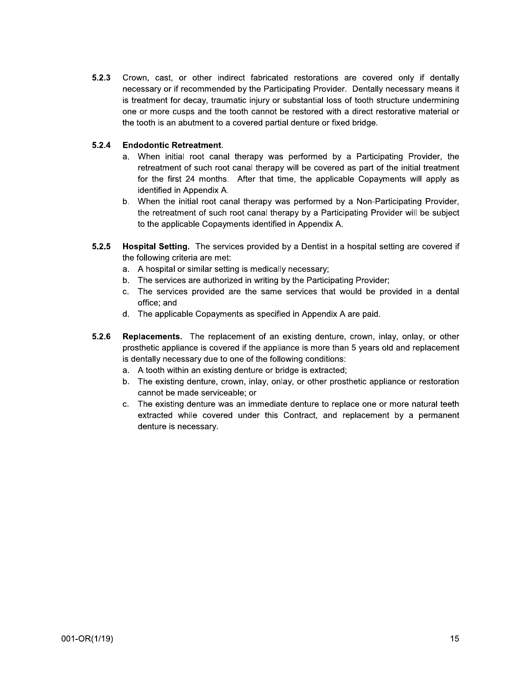$5.2.3$ Crown, cast, or other indirect fabricated restorations are covered only if dentally necessary or if recommended by the Participating Provider. Dentally necessary means it is treatment for decay, traumatic injury or substantial loss of tooth structure undermining one or more cusps and the tooth cannot be restored with a direct restorative material or the tooth is an abutment to a covered partial denture or fixed bridge.

### $5.2.4$ **Endodontic Retreatment.**

- a. When initial root canal therapy was performed by a Participating Provider, the retreatment of such root canal therapy will be covered as part of the initial treatment for the first 24 months. After that time, the applicable Copayments will apply as identified in Appendix A.
- b. When the initial root canal therapy was performed by a Non-Participating Provider, the retreatment of such root canal therapy by a Participating Provider will be subject to the applicable Copayments identified in Appendix A.
- Hospital Setting. The services provided by a Dentist in a hospital setting are covered if  $5.2.5$ the following criteria are met:
	- a. A hospital or similar setting is medically necessary;
	- b. The services are authorized in writing by the Participating Provider;
	- c. The services provided are the same services that would be provided in a dental office; and
	- d. The applicable Copayments as specified in Appendix A are paid.
- $5.2.6$ **Replacements.** The replacement of an existing denture, crown, inlay, onlay, or other prosthetic appliance is covered if the appliance is more than 5 years old and replacement is dentally necessary due to one of the following conditions:
	- a. A tooth within an existing denture or bridge is extracted;
	- b. The existing denture, crown, inlay, onlay, or other prosthetic appliance or restoration cannot be made serviceable; or
	- c. The existing denture was an immediate denture to replace one or more natural teeth extracted while covered under this Contract, and replacement by a permanent denture is necessary.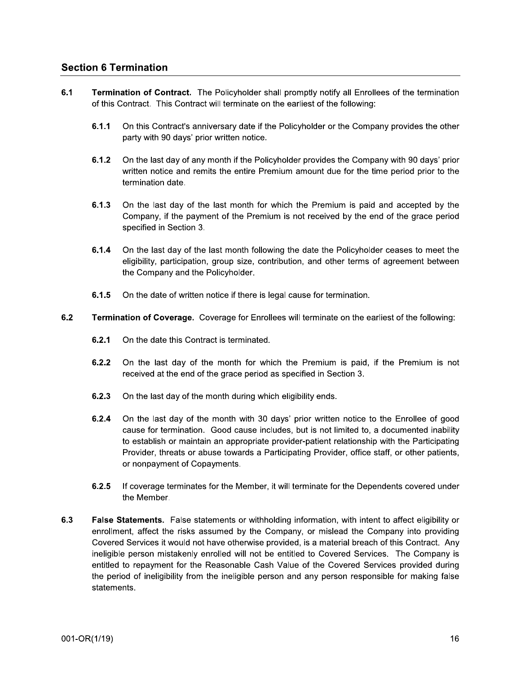## **Section 6 Termination**

- $6.1$ Termination of Contract. The Policyholder shall promptly notify all Enrollees of the termination of this Contract. This Contract will terminate on the earliest of the following:
	- $6.1.1$ On this Contract's anniversary date if the Policyholder or the Company provides the other party with 90 days' prior written notice.
	- $6.1.2$ On the last day of any month if the Policyholder provides the Company with 90 days' prior written notice and remits the entire Premium amount due for the time period prior to the termination date.
	- $6.1.3$ On the last day of the last month for which the Premium is paid and accepted by the Company, if the payment of the Premium is not received by the end of the grace period specified in Section 3.
	- $6.1.4$ On the last day of the last month following the date the Policyholder ceases to meet the eligibility, participation, group size, contribution, and other terms of agreement between the Company and the Policyholder.
	- $6.1.5$ On the date of written notice if there is legal cause for termination.
- $6.2$ Termination of Coverage. Coverage for Enrollees will terminate on the earliest of the following:
	- $6.2.1$ On the date this Contract is terminated.
	- $6.2.2$ On the last day of the month for which the Premium is paid, if the Premium is not received at the end of the grace period as specified in Section 3.
	- $6.2.3$ On the last day of the month during which eligibility ends.
	- $6.2.4$ On the last day of the month with 30 days' prior written notice to the Enrollee of good cause for termination. Good cause includes, but is not limited to, a documented inability to establish or maintain an appropriate provider-patient relationship with the Participating Provider, threats or abuse towards a Participating Provider, office staff, or other patients, or nonpayment of Copayments.
	- $6.2.5$ If coverage terminates for the Member, it will terminate for the Dependents covered under the Member.
- $6.3$ False Statements. False statements or withholding information, with intent to affect eligibility or enrollment, affect the risks assumed by the Company, or mislead the Company into providing Covered Services it would not have otherwise provided, is a material breach of this Contract. Any ineligible person mistakenly enrolled will not be entitled to Covered Services. The Company is entitled to repayment for the Reasonable Cash Value of the Covered Services provided during the period of ineligibility from the ineligible person and any person responsible for making false statements.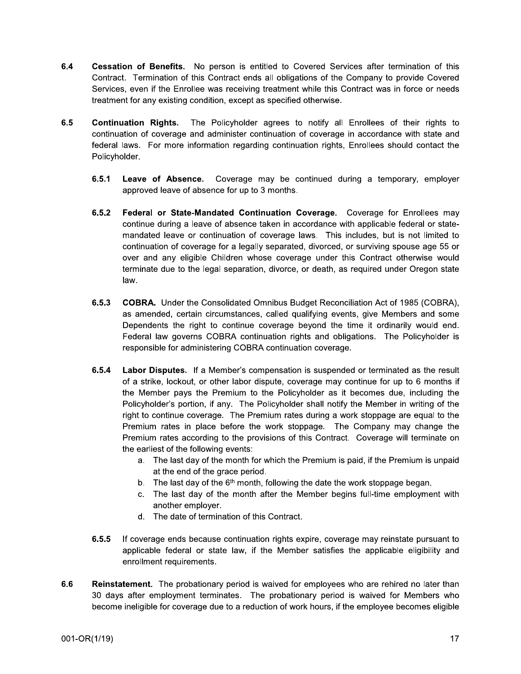- $6.4$ Cessation of Benefits. No person is entitled to Covered Services after termination of this Contract. Termination of this Contract ends all obligations of the Company to provide Covered Services, even if the Enrollee was receiving treatment while this Contract was in force or needs treatment for any existing condition, except as specified otherwise.
- $6.5$ **Continuation Rights.** The Policyholder agrees to notify all Enrollees of their rights to continuation of coverage and administer continuation of coverage in accordance with state and federal laws. For more information regarding continuation rights, Enrollees should contact the Policyholder.
	- $6.5.1$ Coverage may be continued during a temporary, employer Leave of Absence. approved leave of absence for up to 3 months.
	- $6.5.2$ Federal or State-Mandated Continuation Coverage. Coverage for Enrollees may continue during a leave of absence taken in accordance with applicable federal or statemandated leave or continuation of coverage laws. This includes, but is not limited to continuation of coverage for a legally separated, divorced, or surviving spouse age 55 or over and any eligible Children whose coverage under this Contract otherwise would terminate due to the legal separation, divorce, or death, as required under Oregon state law.
	- $6.5.3$ **COBRA.** Under the Consolidated Omnibus Budget Reconciliation Act of 1985 (COBRA), as amended, certain circumstances, called qualifying events, give Members and some Dependents the right to continue coverage beyond the time it ordinarily would end. Federal law governs COBRA continuation rights and obligations. The Policyholder is responsible for administering COBRA continuation coverage.
	- $6.5.4$ Labor Disputes. If a Member's compensation is suspended or terminated as the result of a strike, lockout, or other labor dispute, coverage may continue for up to 6 months if the Member pays the Premium to the Policyholder as it becomes due, including the Policyholder's portion, if any. The Policyholder shall notify the Member in writing of the right to continue coverage. The Premium rates during a work stoppage are equal to the Premium rates in place before the work stoppage. The Company may change the Premium rates according to the provisions of this Contract. Coverage will terminate on the earliest of the following events:
		- a. The last day of the month for which the Premium is paid, if the Premium is unpaid at the end of the grace period.
		- b. The last day of the  $6<sup>th</sup>$  month, following the date the work stoppage began.
		- $C<sub>1</sub>$ The last day of the month after the Member begins full-time employment with another employer.
		- d. The date of termination of this Contract.
	- $6.5.5$ If coverage ends because continuation rights expire, coverage may reinstate pursuant to applicable federal or state law, if the Member satisfies the applicable eligibility and enrollment requirements.
- 6.6 Reinstatement. The probationary period is waived for employees who are rehired no later than 30 days after employment terminates. The probationary period is waived for Members who become ineligible for coverage due to a reduction of work hours, if the employee becomes eligible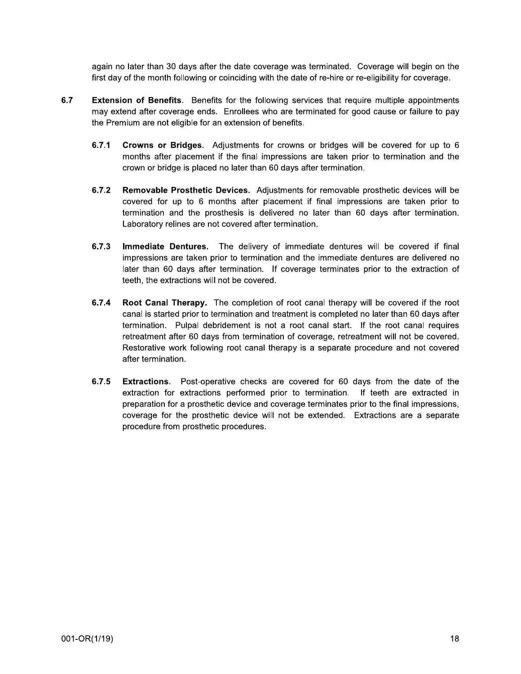again no later than 30 days after the date coverage was terminated. Coverage will begin on the first day of the month following or coinciding with the date of re-hire or re-eligibility for coverage.

- $6.7$ **Extension of Benefits.** Benefits for the following services that require multiple appointments may extend after coverage ends. Enrollees who are terminated for good cause or failure to pay the Premium are not eligible for an extension of benefits.
	- $6.7.1$ Crowns or Bridges. Adjustments for crowns or bridges will be covered for up to 6 months after placement if the final impressions are taken prior to termination and the crown or bridge is placed no later than 60 days after termination.
	- $6.7.2$ Removable Prosthetic Devices. Adjustments for removable prosthetic devices will be covered for up to 6 months after placement if final impressions are taken prior to termination and the prosthesis is delivered no later than 60 days after termination. Laboratory relines are not covered after termination.
	- $6.7.3$ **Immediate Dentures.** The delivery of immediate dentures will be covered if final impressions are taken prior to termination and the immediate dentures are delivered no later than 60 days after termination. If coverage terminates prior to the extraction of teeth, the extractions will not be covered.
	- $6.7.4$ **Root Canal Therapy.** The completion of root canal therapy will be covered if the root canal is started prior to termination and treatment is completed no later than 60 days after termination. Pulpal debridement is not a root canal start. If the root canal requires retreatment after 60 days from termination of coverage, retreatment will not be covered. Restorative work following root canal therapy is a separate procedure and not covered after termination.
	- $6.7.5$ **Extractions.** Post-operative checks are covered for 60 days from the date of the extraction for extractions performed prior to termination. If teeth are extracted in preparation for a prosthetic device and coverage terminates prior to the final impressions, coverage for the prosthetic device will not be extended. Extractions are a separate procedure from prosthetic procedures.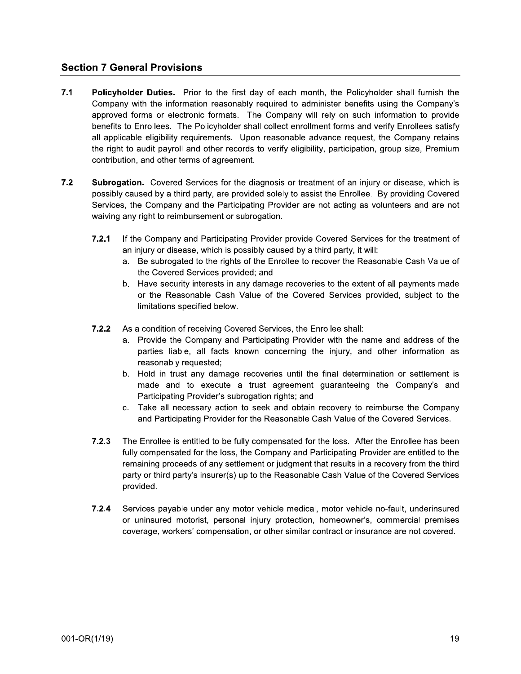## **Section 7 General Provisions**

- $7.1$ Policyholder Duties. Prior to the first day of each month, the Policyholder shall furnish the Company with the information reasonably required to administer benefits using the Company's approved forms or electronic formats. The Company will rely on such information to provide benefits to Enrollees. The Policyholder shall collect enrollment forms and verify Enrollees satisfy all applicable eligibility requirements. Upon reasonable advance request, the Company retains the right to audit payroll and other records to verify eligibility, participation, group size, Premium contribution, and other terms of agreement.
- $7.2$ Subrogation. Covered Services for the diagnosis or treatment of an injury or disease, which is possibly caused by a third party, are provided solely to assist the Enrollee. By providing Covered Services, the Company and the Participating Provider are not acting as volunteers and are not waiving any right to reimbursement or subrogation.
	- $7.2.1$ If the Company and Participating Provider provide Covered Services for the treatment of an injury or disease, which is possibly caused by a third party, it will:
		- a. Be subrogated to the rights of the Enrollee to recover the Reasonable Cash Value of the Covered Services provided; and
		- b. Have security interests in any damage recoveries to the extent of all payments made or the Reasonable Cash Value of the Covered Services provided, subject to the limitations specified below.
	- As a condition of receiving Covered Services, the Enrollee shall:  $7.2.2$ 
		- Provide the Company and Participating Provider with the name and address of the  $\mathbf{a}$ parties liable, all facts known concerning the injury, and other information as reasonably requested;
		- b. Hold in trust any damage recoveries until the final determination or settlement is made and to execute a trust agreement guaranteeing the Company's and Participating Provider's subrogation rights; and
		- c. Take all necessary action to seek and obtain recovery to reimburse the Company and Participating Provider for the Reasonable Cash Value of the Covered Services.
	- $7.2.3$ The Enrollee is entitled to be fully compensated for the loss. After the Enrollee has been fully compensated for the loss, the Company and Participating Provider are entitled to the remaining proceeds of any settlement or judgment that results in a recovery from the third party or third party's insurer(s) up to the Reasonable Cash Value of the Covered Services provided.
	- $7.2.4$ Services payable under any motor vehicle medical, motor vehicle no-fault, underinsured or uninsured motorist, personal injury protection, homeowner's, commercial premises coverage, workers' compensation, or other similar contract or insurance are not covered.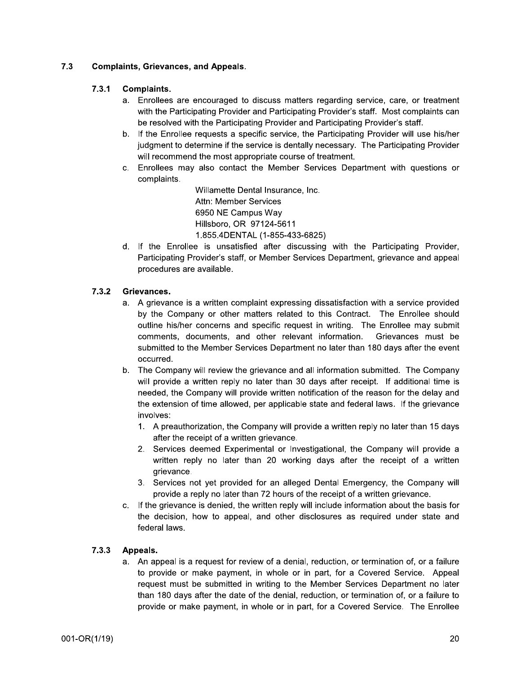### $7.3$ **Complaints, Grievances, and Appeals.**

### $7.3.1$ **Complaints.**

- a. Enrollees are encouraged to discuss matters regarding service, care, or treatment with the Participating Provider and Participating Provider's staff. Most complaints can be resolved with the Participating Provider and Participating Provider's staff.
- b. If the Enrollee requests a specific service, the Participating Provider will use his/her judgment to determine if the service is dentally necessary. The Participating Provider will recommend the most appropriate course of treatment.
- c. Enrollees may also contact the Member Services Department with questions or complaints.

Willamette Dental Insurance, Inc. Attn: Member Services 6950 NE Campus Wav Hillsboro, OR 97124-5611 1.855.4DENTAL (1-855-433-6825)

d. If the Enrollee is unsatisfied after discussing with the Participating Provider, Participating Provider's staff, or Member Services Department, grievance and appeal procedures are available.

### $7.3.2$ Grievances.

- a. A grievance is a written complaint expressing dissatisfaction with a service provided by the Company or other matters related to this Contract. The Enrollee should outline his/her concerns and specific request in writing. The Enrollee may submit comments, documents, and other relevant information. Grievances must be submitted to the Member Services Department no later than 180 days after the event occurred.
- b. The Company will review the grievance and all information submitted. The Company will provide a written reply no later than 30 days after receipt. If additional time is needed, the Company will provide written notification of the reason for the delay and the extension of time allowed, per applicable state and federal laws. If the grievance involves:
	- 1. A preauthorization, the Company will provide a written reply no later than 15 days after the receipt of a written grievance.
	- 2. Services deemed Experimental or Investigational, the Company will provide a written reply no later than 20 working days after the receipt of a written grievance.
	- 3. Services not yet provided for an alleged Dental Emergency, the Company will provide a reply no later than 72 hours of the receipt of a written grievance.
- If the grievance is denied, the written reply will include information about the basis for the decision, how to appeal, and other disclosures as required under state and federal laws.

### $7.3.3$ Appeals.

a. An appeal is a request for review of a denial, reduction, or termination of, or a failure to provide or make payment, in whole or in part, for a Covered Service. Appeal request must be submitted in writing to the Member Services Department no later than 180 days after the date of the denial, reduction, or termination of, or a failure to provide or make payment, in whole or in part, for a Covered Service. The Enrollee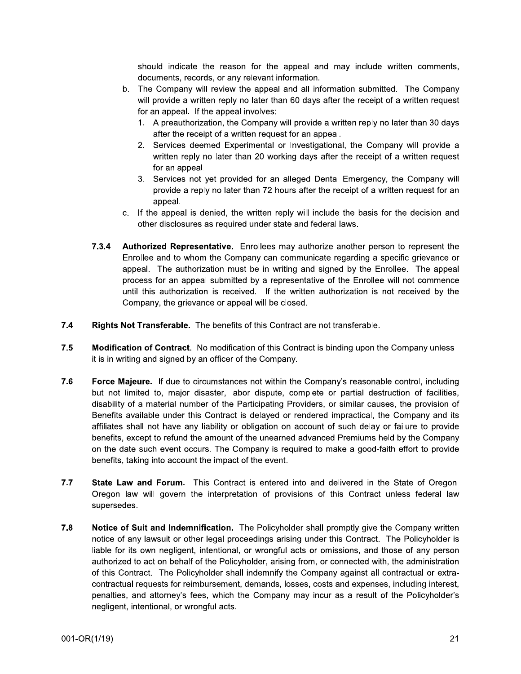should indicate the reason for the appeal and may include written comments, documents, records, or any relevant information.

- b. The Company will review the appeal and all information submitted. The Company will provide a written reply no later than 60 days after the receipt of a written request for an appeal. If the appeal involves:
	- 1. A preauthorization, the Company will provide a written reply no later than 30 days after the receipt of a written request for an appeal.
	- 2. Services deemed Experimental or Investigational, the Company will provide a written reply no later than 20 working days after the receipt of a written request for an appeal.
	- 3. Services not yet provided for an alleged Dental Emergency, the Company will provide a reply no later than 72 hours after the receipt of a written request for an appeal.
- c. If the appeal is denied, the written reply will include the basis for the decision and other disclosures as required under state and federal laws.
- $7.3.4$ Authorized Representative. Enrollees may authorize another person to represent the Enrollee and to whom the Company can communicate regarding a specific grievance or appeal. The authorization must be in writing and signed by the Enrollee. The appeal process for an appeal submitted by a representative of the Enrollee will not commence until this authorization is received. If the written authorization is not received by the Company, the grievance or appeal will be closed.
- $7.4$ Rights Not Transferable. The benefits of this Contract are not transferable.
- $7.5$ Modification of Contract. No modification of this Contract is binding upon the Company unless it is in writing and signed by an officer of the Company.
- 7.6 **Force Majeure.** If due to circumstances not within the Company's reasonable control, including but not limited to, major disaster, labor dispute, complete or partial destruction of facilities, disability of a material number of the Participating Providers, or similar causes, the provision of Benefits available under this Contract is delayed or rendered impractical, the Company and its affiliates shall not have any liability or obligation on account of such delay or failure to provide benefits, except to refund the amount of the unearned advanced Premiums held by the Company on the date such event occurs. The Company is required to make a good-faith effort to provide benefits, taking into account the impact of the event.
- $7.7$ State Law and Forum. This Contract is entered into and delivered in the State of Oregon. Oregon law will govern the interpretation of provisions of this Contract unless federal law supersedes.
- 7.8 Notice of Suit and Indemnification. The Policyholder shall promptly give the Company written notice of any lawsuit or other legal proceedings arising under this Contract. The Policyholder is liable for its own negligent, intentional, or wrongful acts or omissions, and those of any person authorized to act on behalf of the Policyholder, arising from, or connected with, the administration of this Contract. The Policyholder shall indemnify the Company against all contractual or extracontractual requests for reimbursement, demands, losses, costs and expenses, including interest, penalties, and attorney's fees, which the Company may incur as a result of the Policyholder's negligent, intentional, or wrongful acts.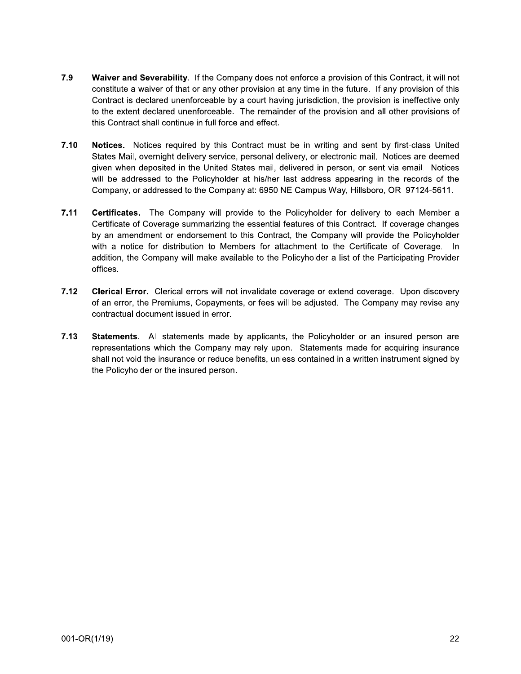- 7.9 Waiver and Severability. If the Company does not enforce a provision of this Contract, it will not constitute a waiver of that or any other provision at any time in the future. If any provision of this Contract is declared unenforceable by a court having jurisdiction, the provision is ineffective only to the extent declared unenforceable. The remainder of the provision and all other provisions of this Contract shall continue in full force and effect.
- $7.10$ Notices. Notices required by this Contract must be in writing and sent by first-class United States Mail, overnight delivery service, personal delivery, or electronic mail. Notices are deemed given when deposited in the United States mail, delivered in person, or sent via email. Notices will be addressed to the Policyholder at his/her last address appearing in the records of the Company, or addressed to the Company at: 6950 NE Campus Way, Hillsboro, OR 97124-5611.
- $7.11$ Certificates. The Company will provide to the Policyholder for delivery to each Member a Certificate of Coverage summarizing the essential features of this Contract. If coverage changes by an amendment or endorsement to this Contract, the Company will provide the Policyholder with a notice for distribution to Members for attachment to the Certificate of Coverage. In addition, the Company will make available to the Policyholder a list of the Participating Provider offices.
- $7.12$ Clerical Error. Clerical errors will not invalidate coverage or extend coverage. Upon discovery of an error, the Premiums, Copayments, or fees will be adjusted. The Company may revise any contractual document issued in error.
- $7.13$ Statements. All statements made by applicants, the Policyholder or an insured person are representations which the Company may rely upon. Statements made for acquiring insurance shall not void the insurance or reduce benefits, unless contained in a written instrument signed by the Policyholder or the insured person.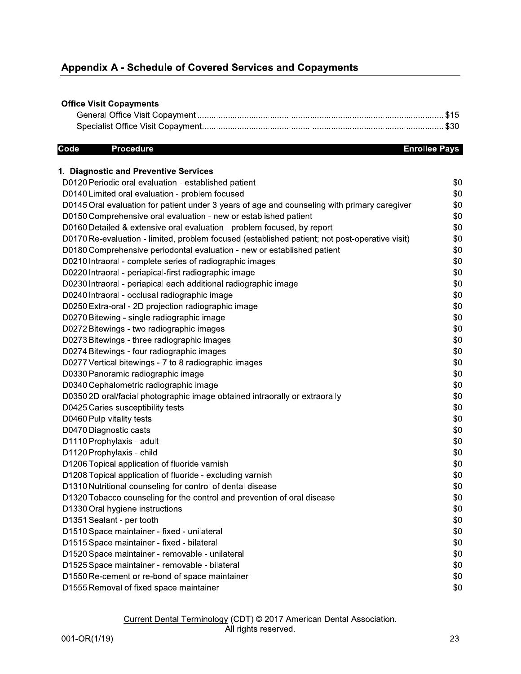| <b>Appendix A - Schedule of Covered Services and Copayments</b> |  |
|-----------------------------------------------------------------|--|
|                                                                 |  |
| <b>Office Visit Copayments</b>                                  |  |
|                                                                 |  |
|                                                                 |  |

| <b>Office Visit Copayments</b>                                                                 |                      |
|------------------------------------------------------------------------------------------------|----------------------|
|                                                                                                |                      |
|                                                                                                |                      |
| Code<br><b>Procedure</b>                                                                       | <b>Enrollee Pays</b> |
| 1. Diagnostic and Preventive Services                                                          |                      |
| D0120 Periodic oral evaluation - established patient                                           | \$0                  |
| D0140 Limited oral evaluation - problem focused                                                | \$0                  |
| D0145 Oral evaluation for patient under 3 years of age and counseling with primary caregiver   | \$0                  |
| D0150 Comprehensive oral evaluation - new or established patient                               | \$0                  |
| D0160 Detailed & extensive oral evaluation - problem focused, by report                        | \$0                  |
| D0170 Re-evaluation - limited, problem focused (established patient; not post-operative visit) | \$0                  |
| D0180 Comprehensive periodontal evaluation - new or established patient                        | \$0                  |
| D0210 Intraoral - complete series of radiographic images                                       | \$0                  |
| D0220 Intraoral - periapical-first radiographic image                                          | \$0                  |
| D0230 Intraoral - periapical each additional radiographic image                                | \$0                  |
| D0240 Intraoral - occlusal radiographic image                                                  | \$0                  |
| D0250 Extra-oral - 2D projection radiographic image                                            | \$0                  |
| D0270 Bitewing - single radiographic image                                                     | \$0                  |
| D0272 Bitewings - two radiographic images                                                      | \$0                  |
| D0273 Bitewings - three radiographic images                                                    | \$0                  |
| D0274 Bitewings - four radiographic images                                                     | \$0                  |
| D0277 Vertical bitewings - 7 to 8 radiographic images                                          | \$0                  |
| D0330 Panoramic radiographic image                                                             | \$0                  |
| D0340 Cephalometric radiographic image                                                         | \$0                  |
| D0350 2D oral/facial photographic image obtained intraorally or extraorally                    | \$0                  |
| D0425 Caries susceptibility tests                                                              | \$0                  |
| D0460 Pulp vitality tests                                                                      | \$0                  |
| D0470 Diagnostic casts                                                                         | \$0                  |
| D1110 Prophylaxis - adult                                                                      | \$0                  |
| D1120 Prophylaxis - child                                                                      | \$0                  |
| D1206 Topical application of fluoride varnish                                                  | \$0                  |
| D1208 Topical application of fluoride - excluding varnish                                      | \$0                  |
| D1310 Nutritional counseling for control of dental disease                                     | \$0                  |
| D1320 Tobacco counseling for the control and prevention of oral disease                        | \$0                  |
| D1330 Oral hygiene instructions                                                                | \$0                  |
| D1351 Sealant - per tooth                                                                      | \$0                  |
| D1510 Space maintainer - fixed - unilateral                                                    | \$0                  |
| D1515 Space maintainer - fixed - bilateral                                                     | \$0                  |
| D1520 Space maintainer - removable - unilateral                                                | \$0                  |
| D1525 Space maintainer - removable - bilateral                                                 | \$0                  |
| D1550 Re-cement or re-bond of space maintainer                                                 | \$0                  |
| D1555 Removal of fixed space maintainer                                                        | \$0                  |

### Current Dental Terminology (CDT) © 2017 American Dental Association. All rights reserved.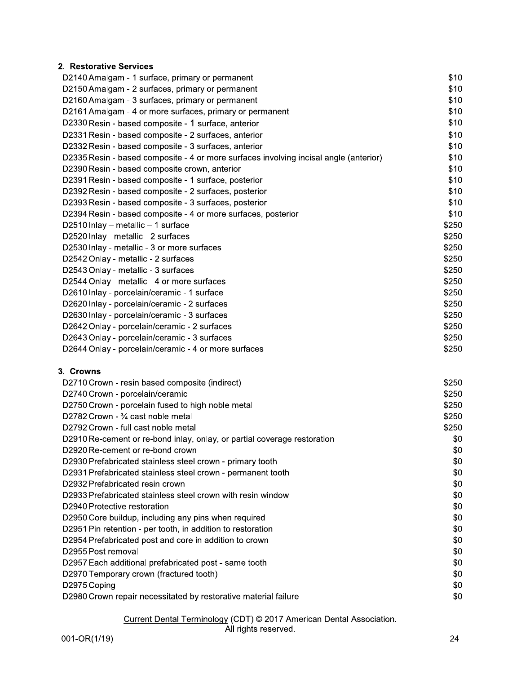## 2. Restorative Services

| D2140 Amalgam - 1 surface, primary or permanent                                       | \$10  |
|---------------------------------------------------------------------------------------|-------|
| D2150 Amalgam - 2 surfaces, primary or permanent                                      | \$10  |
| D2160 Amalgam - 3 surfaces, primary or permanent                                      | \$10  |
| D2161 Amalgam - 4 or more surfaces, primary or permanent                              | \$10  |
| D2330 Resin - based composite - 1 surface, anterior                                   | \$10  |
| D2331 Resin - based composite - 2 surfaces, anterior                                  | \$10  |
| D2332 Resin - based composite - 3 surfaces, anterior                                  | \$10  |
| D2335 Resin - based composite - 4 or more surfaces involving incisal angle (anterior) | \$10  |
| D2390 Resin - based composite crown, anterior                                         | \$10  |
| D2391 Resin - based composite - 1 surface, posterior                                  | \$10  |
| D2392 Resin - based composite - 2 surfaces, posterior                                 | \$10  |
| D2393 Resin - based composite - 3 surfaces, posterior                                 | \$10  |
| D2394 Resin - based composite - 4 or more surfaces, posterior                         | \$10  |
| D2510 Inlay $-$ metallic $-$ 1 surface                                                | \$250 |
| D2520 Inlay - metallic - 2 surfaces                                                   | \$250 |
| D2530 Inlay - metallic - 3 or more surfaces                                           | \$250 |
| D2542 Onlay - metallic - 2 surfaces                                                   | \$250 |
| D2543 Onlay - metallic - 3 surfaces                                                   | \$250 |
| D2544 Onlay - metallic - 4 or more surfaces                                           | \$250 |
| D2610 Inlay - porcelain/ceramic - 1 surface                                           | \$250 |
| D2620 Inlay - porcelain/ceramic - 2 surfaces                                          | \$250 |
| D2630 Inlay - porcelain/ceramic - 3 surfaces                                          | \$250 |
| D2642 Onlay - porcelain/ceramic - 2 surfaces                                          | \$250 |
| D2643 Onlay - porcelain/ceramic - 3 surfaces                                          | \$250 |
| D2644 Onlay - porcelain/ceramic - 4 or more surfaces                                  | \$250 |
|                                                                                       |       |

### 3. Crowns

| D2710 Crown - resin based composite (indirect)                           | \$250 |
|--------------------------------------------------------------------------|-------|
| D2740 Crown - porcelain/ceramic                                          | \$250 |
| D2750 Crown - porcelain fused to high noble metal                        | \$250 |
| D2782 Crown - 3/4 cast noble metal                                       | \$250 |
| D2792 Crown - full cast noble metal                                      | \$250 |
| D2910 Re-cement or re-bond inlay, onlay, or partial coverage restoration | \$0   |
| D2920 Re-cement or re-bond crown                                         | \$0   |
| D2930 Prefabricated stainless steel crown - primary tooth                | \$0   |
| D2931 Prefabricated stainless steel crown - permanent tooth              | \$0   |
| D2932 Prefabricated resin crown                                          | \$0   |
| D2933 Prefabricated stainless steel crown with resin window              | \$0   |
| D2940 Protective restoration                                             | \$0   |
| D2950 Core buildup, including any pins when required                     | \$0   |
| D2951 Pin retention - per tooth, in addition to restoration              | \$0   |
| D2954 Prefabricated post and core in addition to crown                   | \$0   |
| D2955 Post removal                                                       | \$0   |
| D2957 Each additional prefabricated post - same tooth                    | \$0   |
| D2970 Temporary crown (fractured tooth)                                  | \$0   |
| D2975 Coping                                                             | \$0   |
| D2980 Crown repair necessitated by restorative material failure          | \$0   |
|                                                                          |       |

# Current Dental Terminology (CDT) © 2017 American Dental Association.<br>All rights reserved.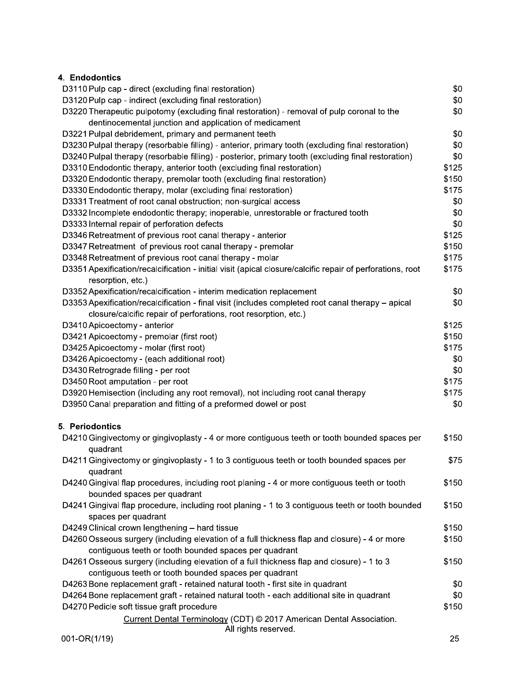## 4. Endodontics

| D3110 Pulp cap - direct (excluding final restoration)                                                     | \$0   |
|-----------------------------------------------------------------------------------------------------------|-------|
| D3120 Pulp cap - indirect (excluding final restoration)                                                   | \$0   |
| D3220 Therapeutic pulpotomy (excluding final restoration) - removal of pulp coronal to the                | \$0   |
| dentinocemental junction and application of medicament                                                    |       |
| D3221 Pulpal debridement, primary and permanent teeth                                                     | \$0   |
| D3230 Pulpal therapy (resorbable filling) - anterior, primary tooth (excluding final restoration)         | \$0   |
| D3240 Pulpal therapy (resorbable filling) - posterior, primary tooth (excluding final restoration)        | \$0   |
| D3310 Endodontic therapy, anterior tooth (excluding final restoration)                                    | \$125 |
| D3320 Endodontic therapy, premolar tooth (excluding final restoration)                                    | \$150 |
| D3330 Endodontic therapy, molar (excluding final restoration)                                             | \$175 |
| D3331 Treatment of root canal obstruction; non-surgical access                                            | \$0   |
| D3332 Incomplete endodontic therapy; inoperable, unrestorable or fractured tooth                          | \$0   |
| D3333 Internal repair of perforation defects                                                              | \$0   |
| D3346 Retreatment of previous root canal therapy - anterior                                               | \$125 |
| D3347 Retreatment of previous root canal therapy - premolar                                               | \$150 |
| D3348 Retreatment of previous root canal therapy - molar                                                  | \$175 |
|                                                                                                           | \$175 |
| D3351 Apexification/recalcification - initial visit (apical closure/calcific repair of perforations, root |       |
| resorption, etc.)                                                                                         |       |
| D3352 Apexification/recalcification - interim medication replacement                                      | \$0   |
| D3353 Apexification/recalcification - final visit (includes completed root canal therapy - apical         | \$0   |
| closure/calcific repair of perforations, root resorption, etc.)                                           |       |
| D3410 Apicoectomy - anterior                                                                              | \$125 |
| D3421 Apicoectomy - premolar (first root)                                                                 | \$150 |
| D3425 Apicoectomy - molar (first root)                                                                    | \$175 |
| D3426 Apicoectomy - (each additional root)                                                                | \$0   |
| D3430 Retrograde filling - per root                                                                       | \$0   |
| D3450 Root amputation - per root                                                                          | \$175 |
| D3920 Hemisection (including any root removal), not including root canal therapy                          | \$175 |
| D3950 Canal preparation and fitting of a preformed dowel or post                                          | \$0   |
| 5. Periodontics                                                                                           |       |
| D4210 Gingivectomy or gingivoplasty - 4 or more contiguous teeth or tooth bounded spaces per              | \$150 |
| quadrant                                                                                                  |       |
| D4211 Gingivectomy or gingivoplasty - 1 to 3 contiguous teeth or tooth bounded spaces per                 | \$75  |
| quadrant                                                                                                  |       |
| D4240 Gingival flap procedures, including root planing - 4 or more contiguous teeth or tooth              | \$150 |
| bounded spaces per quadrant                                                                               |       |
| D4241 Gingival flap procedure, including root planing - 1 to 3 contiguous teeth or tooth bounded          | \$150 |
| spaces per quadrant                                                                                       |       |
| D4249 Clinical crown lengthening - hard tissue                                                            | \$150 |
| D4260 Osseous surgery (including elevation of a full thickness flap and closure) - 4 or more              | \$150 |
| contiguous teeth or tooth bounded spaces per quadrant                                                     |       |
|                                                                                                           |       |
| D4261 Osseous surgery (including elevation of a full thickness flap and closure) - 1 to 3                 | \$150 |
| contiguous teeth or tooth bounded spaces per quadrant                                                     |       |
| D4263 Bone replacement graft - retained natural tooth - first site in quadrant                            | \$0   |
| D4264 Bone replacement graft - retained natural tooth - each additional site in quadrant                  | \$0   |
| D4270 Pedicle soft tissue graft procedure                                                                 | \$150 |
| Current Dental Terminology (CDT) © 2017 American Dental Association.<br>All rights reserved.              |       |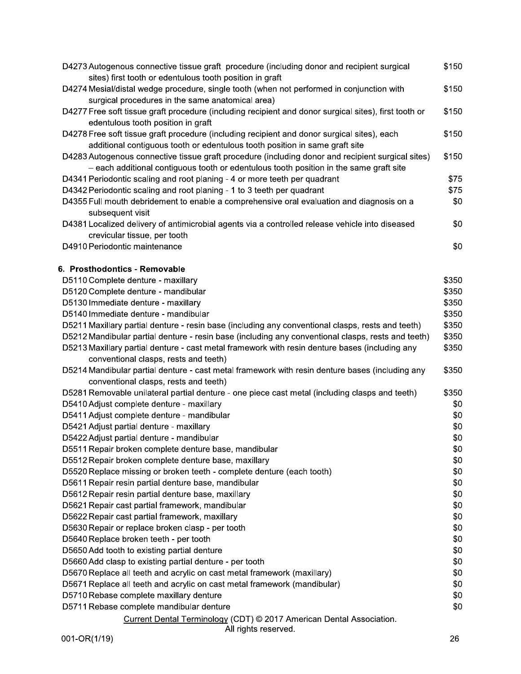| D4273 Autogenous connective tissue graft procedure (including donor and recipient surgical<br>sites) first tooth or edentulous tooth position in graft | \$150 |
|--------------------------------------------------------------------------------------------------------------------------------------------------------|-------|
| D4274 Mesial/distal wedge procedure, single tooth (when not performed in conjunction with                                                              | \$150 |
| surgical procedures in the same anatomical area)                                                                                                       |       |
| D4277 Free soft tissue graft procedure (including recipient and donor surgical sites), first tooth or<br>edentulous tooth position in graft            | \$150 |
| D4278 Free soft tissue graft procedure (including recipient and donor surgical sites), each                                                            | \$150 |
| additional contiguous tooth or edentulous tooth position in same graft site                                                                            |       |
| D4283 Autogenous connective tissue graft procedure (including donor and recipient surgical sites)                                                      | \$150 |
| - each additional contiguous tooth or edentulous tooth position in the same graft site                                                                 |       |
| D4341 Periodontic scaling and root planing - 4 or more teeth per quadrant                                                                              | \$75  |
| D4342 Periodontic scaling and root planing - 1 to 3 teeth per quadrant                                                                                 | \$75  |
| D4355 Full mouth debridement to enable a comprehensive oral evaluation and diagnosis on a<br>subsequent visit                                          | \$0   |
| D4381 Localized delivery of antimicrobial agents via a controlled release vehicle into diseased                                                        | \$0   |
| crevicular tissue, per tooth                                                                                                                           |       |
| D4910 Periodontic maintenance                                                                                                                          | \$0   |
|                                                                                                                                                        |       |
| 6. Prosthodontics - Removable                                                                                                                          |       |
| D5110 Complete denture - maxillary                                                                                                                     | \$350 |
| D5120 Complete denture - mandibular                                                                                                                    | \$350 |
| D5130 Immediate denture - maxillary                                                                                                                    | \$350 |
| D5140 Immediate denture - mandibular                                                                                                                   | \$350 |
| D5211 Maxillary partial denture - resin base (including any conventional clasps, rests and teeth)                                                      | \$350 |
| D5212 Mandibular partial denture - resin base (including any conventional clasps, rests and teeth)                                                     | \$350 |
| D5213 Maxillary partial denture - cast metal framework with resin denture bases (including any                                                         | \$350 |
| conventional clasps, rests and teeth)                                                                                                                  |       |
| D5214 Mandibular partial denture - cast metal framework with resin denture bases (including any                                                        | \$350 |
| conventional clasps, rests and teeth)                                                                                                                  |       |
| D5281 Removable unilateral partial denture - one piece cast metal (including clasps and teeth)                                                         | \$350 |
| D5410 Adjust complete denture - maxillary                                                                                                              | \$0   |
| D5411 Adjust complete denture - mandibular                                                                                                             | \$0   |
| D5421 Adjust partial denture - maxillary                                                                                                               | \$0   |
| D5422 Adjust partial denture - mandibular                                                                                                              | \$0   |
| D5511 Repair broken complete denture base, mandibular                                                                                                  | \$0   |
| D5512 Repair broken complete denture base, maxillary                                                                                                   | \$0   |
| D5520 Replace missing or broken teeth - complete denture (each tooth)                                                                                  | \$0   |
| D5611 Repair resin partial denture base, mandibular                                                                                                    | \$0   |
| D5612 Repair resin partial denture base, maxillary                                                                                                     | \$0   |
| D5621 Repair cast partial framework, mandibular                                                                                                        | \$0   |
| D5622 Repair cast partial framework, maxillary                                                                                                         | \$0   |
| D5630 Repair or replace broken clasp - per tooth                                                                                                       | \$0   |
| D5640 Replace broken teeth - per tooth                                                                                                                 | \$0   |
| D5650 Add tooth to existing partial denture                                                                                                            | \$0   |
| D5660 Add clasp to existing partial denture - per tooth                                                                                                | \$0   |
| D5670 Replace all teeth and acrylic on cast metal framework (maxillary)                                                                                | \$0   |
| D5671 Replace all teeth and acrylic on cast metal framework (mandibular)                                                                               | \$0   |
| D5710 Rebase complete maxillary denture                                                                                                                | \$0   |
| D5711 Rebase complete mandibular denture                                                                                                               | \$0   |
|                                                                                                                                                        |       |
| Current Dental Terminology (CDT) © 2017 American Dental Association.<br>All rights reserved.                                                           |       |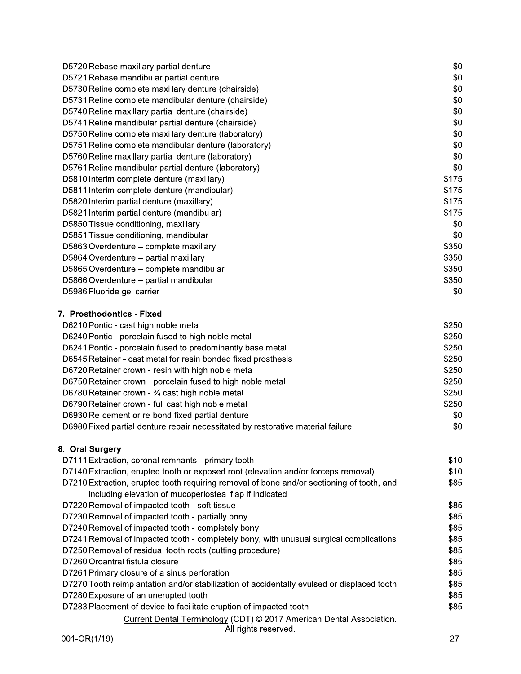| D5720 Rebase maxillary partial denture                | \$0   |
|-------------------------------------------------------|-------|
| D5721 Rebase mandibular partial denture               | \$0   |
| D5730 Reline complete maxillary denture (chairside)   | \$0   |
| D5731 Reline complete mandibular denture (chairside)  | \$0   |
| D5740 Reline maxillary partial denture (chairside)    | \$0   |
| D5741 Reline mandibular partial denture (chairside)   | \$0   |
| D5750 Reline complete maxillary denture (laboratory)  | \$0   |
| D5751 Reline complete mandibular denture (laboratory) | \$0   |
| D5760 Reline maxillary partial denture (laboratory)   | \$0   |
| D5761 Reline mandibular partial denture (laboratory)  | \$0   |
| D5810 Interim complete denture (maxillary)            | \$175 |
| D5811 Interim complete denture (mandibular)           | \$175 |
| D5820 Interim partial denture (maxillary)             | \$175 |
| D5821 Interim partial denture (mandibular)            | \$175 |
| D5850 Tissue conditioning, maxillary                  | \$0   |
| D5851 Tissue conditioning, mandibular                 | \$0   |
| D5863 Overdenture - complete maxillary                | \$350 |
| D5864 Overdenture - partial maxillary                 | \$350 |
| D5865 Overdenture – complete mandibular               | \$350 |
| D5866 Overdenture - partial mandibular                | \$350 |
| D5986 Fluoride gel carrier                            | \$0   |
| 7. Prosthodontics - Fixed                             |       |
| D6210 Pontic - cast high noble metal                  | \$250 |
| D6240 Pontic - porcelain fused to high noble metal    | \$250 |

| <u>DULTUR UNIO PURUGIAN NUUU INGILIIUDIU INUIDI</u>                             | ັ້    |
|---------------------------------------------------------------------------------|-------|
| D6241 Pontic - porcelain fused to predominantly base metal                      | \$250 |
| D6545 Retainer - cast metal for resin bonded fixed prosthesis                   | \$250 |
| D6720 Retainer crown - resin with high noble metal                              | \$250 |
| D6750 Retainer crown - porcelain fused to high noble metal                      | \$250 |
| D6780 Retainer crown - 3⁄4 cast high noble metal                                | \$250 |
| D6790 Retainer crown - full cast high noble metal                               | \$250 |
| D6930 Re-cement or re-bond fixed partial denture                                | \$0   |
| D6980 Fixed partial denture repair necessitated by restorative material failure | \$0   |
|                                                                                 |       |

## 8. Oral Surgery

| D7111 Extraction, coronal remnants - primary tooth                                         | \$10 |
|--------------------------------------------------------------------------------------------|------|
| D7140 Extraction, erupted tooth or exposed root (elevation and/or forceps removal)         | \$10 |
| D7210 Extraction, erupted tooth requiring removal of bone and/or sectioning of tooth, and  | \$85 |
| including elevation of mucoperiosteal flap if indicated                                    |      |
| D7220 Removal of impacted tooth - soft tissue                                              | \$85 |
| D7230 Removal of impacted tooth - partially bony                                           | \$85 |
| D7240 Removal of impacted tooth - completely bony                                          | \$85 |
| D7241 Removal of impacted tooth - completely bony, with unusual surgical complications     | \$85 |
| D7250 Removal of residual tooth roots (cutting procedure)                                  | \$85 |
| D7260 Oroantral fistula closure                                                            | \$85 |
| D7261 Primary closure of a sinus perforation                                               | \$85 |
| D7270 Tooth reimplantation and/or stabilization of accidentally evulsed or displaced tooth | \$85 |
| D7280 Exposure of an unerupted tooth                                                       | \$85 |
| D7283 Placement of device to facilitate eruption of impacted tooth                         | \$85 |
| Current Dental Terminology (CDT) © 2017 American Dental Association.                       |      |
| All rights reserved.                                                                       |      |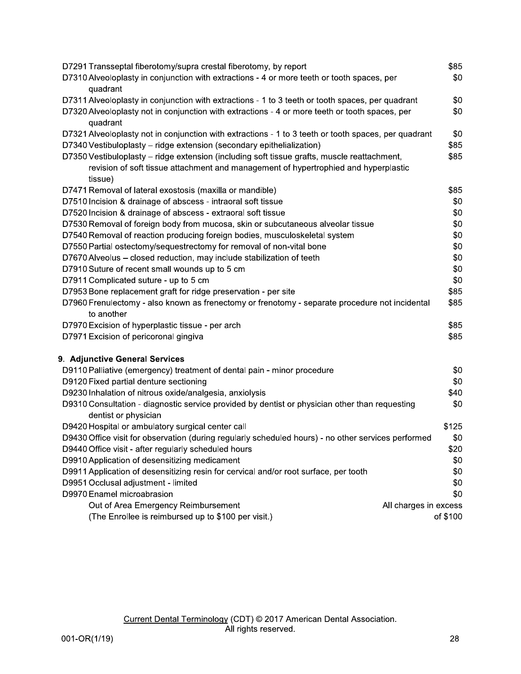| D7291 Transseptal fiberotomy/supra crestal fiberotomy, by report                                             | \$85     |
|--------------------------------------------------------------------------------------------------------------|----------|
| D7310 Alveoloplasty in conjunction with extractions - 4 or more teeth or tooth spaces, per                   | \$0      |
| quadrant                                                                                                     |          |
| D7311 Alveoloplasty in conjunction with extractions - 1 to 3 teeth or tooth spaces, per quadrant             | \$0      |
| D7320 Alveoloplasty not in conjunction with extractions - 4 or more teeth or tooth spaces, per               | \$0      |
| quadrant                                                                                                     |          |
| D7321 Alveoloplasty not in conjunction with extractions - 1 to 3 teeth or tooth spaces, per quadrant         | \$0      |
| D7340 Vestibuloplasty - ridge extension (secondary epithelialization)                                        | \$85     |
| D7350 Vestibuloplasty - ridge extension (including soft tissue grafts, muscle reattachment,                  | \$85     |
| revision of soft tissue attachment and management of hypertrophied and hyperplastic                          |          |
| tissue)                                                                                                      |          |
| D7471 Removal of lateral exostosis (maxilla or mandible)                                                     | \$85     |
| D7510 Incision & drainage of abscess - intraoral soft tissue                                                 | \$0      |
| D7520 Incision & drainage of abscess - extraoral soft tissue                                                 | \$0      |
| D7530 Removal of foreign body from mucosa, skin or subcutaneous alveolar tissue                              | \$0      |
| D7540 Removal of reaction producing foreign bodies, musculoskeletal system                                   | \$0      |
| D7550 Partial ostectomy/sequestrectomy for removal of non-vital bone                                         | \$0      |
| D7670 Alveolus - closed reduction, may include stabilization of teeth                                        | \$0      |
| D7910 Suture of recent small wounds up to 5 cm                                                               | \$0      |
| D7911 Complicated suture - up to 5 cm                                                                        | \$0      |
| D7953 Bone replacement graft for ridge preservation - per site                                               | \$85     |
| D7960 Frenulectomy - also known as frenectomy or frenotomy - separate procedure not incidental<br>to another | \$85     |
| D7970 Excision of hyperplastic tissue - per arch                                                             | \$85     |
| D7971 Excision of pericoronal gingiva                                                                        | \$85     |
| 9. Adjunctive General Services                                                                               |          |
| D9110 Palliative (emergency) treatment of dental pain - minor procedure                                      | \$0      |
| D9120 Fixed partial denture sectioning                                                                       | \$0      |
| D9230 Inhalation of nitrous oxide/analgesia, anxiolysis                                                      | \$40     |
| D9310 Consultation - diagnostic service provided by dentist or physician other than requesting               | \$0      |
| dentist or physician                                                                                         |          |
| D9420 Hospital or ambulatory surgical center call                                                            | \$125    |
| D9430 Office visit for observation (during regularly scheduled hours) - no other services performed          | \$0      |
| D9440 Office visit - after regularly scheduled hours                                                         | \$20     |
| D9910 Application of desensitizing medicament                                                                | \$0      |
| D9911 Application of desensitizing resin for cervical and/or root surface, per tooth                         | \$0      |
| D9951 Occlusal adjustment - limited                                                                          | \$0      |
| D9970 Enamel microabrasion                                                                                   | \$0      |
| Out of Area Emergency Reimbursement<br>All charges in excess                                                 |          |
| (The Enrollee is reimbursed up to \$100 per visit.)                                                          | of \$100 |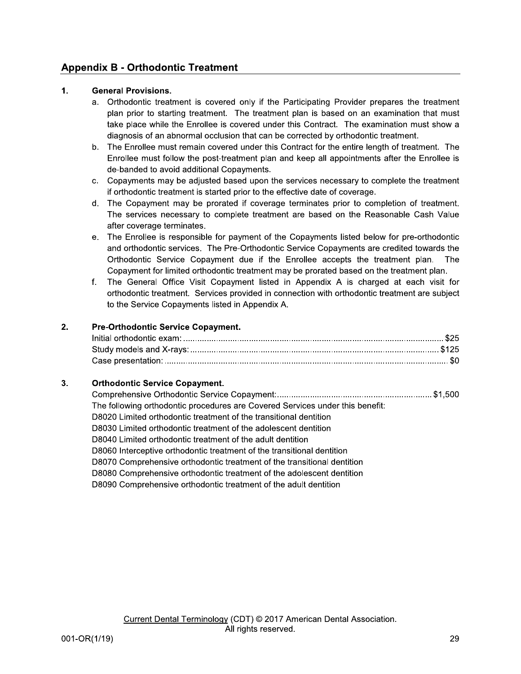## **Appendix B - Orthodontic Treatment**

### $1.$ **General Provisions.**

- a. Orthodontic treatment is covered only if the Participating Provider prepares the treatment plan prior to starting treatment. The treatment plan is based on an examination that must take place while the Enrollee is covered under this Contract. The examination must show a diagnosis of an abnormal occlusion that can be corrected by orthodontic treatment.
- b. The Enrollee must remain covered under this Contract for the entire length of treatment. The Enrollee must follow the post-treatment plan and keep all appointments after the Enrollee is de-banded to avoid additional Copayments.
- c. Copayments may be adjusted based upon the services necessary to complete the treatment if orthodontic treatment is started prior to the effective date of coverage.
- d. The Copayment may be prorated if coverage terminates prior to completion of treatment. The services necessary to complete treatment are based on the Reasonable Cash Value after coverage terminates.
- e. The Enrollee is responsible for payment of the Copayments listed below for pre-orthodontic and orthodontic services. The Pre-Orthodontic Service Copayments are credited towards the Orthodontic Service Copayment due if the Enrollee accepts the treatment plan. The Copayment for limited orthodontic treatment may be prorated based on the treatment plan.
- f. The General Office Visit Copayment listed in Appendix A is charged at each visit for orthodontic treatment. Services provided in connection with orthodontic treatment are subject to the Service Copayments listed in Appendix A.

### $2.$ Pre-Orthodontic Service Copayment.

### $3.$ **Orthodontic Service Copayment.**

| The following orthodontic procedures are Covered Services under this benefit: |  |
|-------------------------------------------------------------------------------|--|
| D8020 Limited orthodontic treatment of the transitional dentition             |  |
| D8030 Limited orthodontic treatment of the adolescent dentition               |  |
| D8040 Limited orthodontic treatment of the adult dentition                    |  |
| D8060 Interceptive orthodontic treatment of the transitional dentition        |  |
| D8070 Comprehensive orthodontic treatment of the transitional dentition       |  |
| D8080 Comprehensive orthodontic treatment of the adolescent dentition         |  |
| D8090 Comprehensive orthodontic treatment of the adult dentition              |  |
|                                                                               |  |